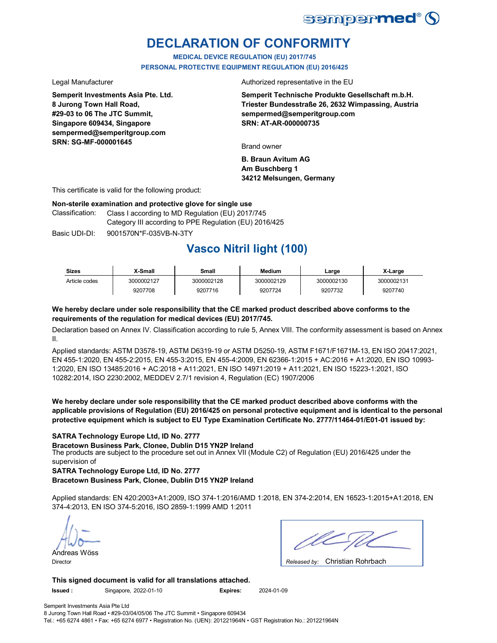

## **DECLARATION OF CONFORMITY**

**MEDICAL DEVICE REGULATION (EU) 2017/745 PERSONAL PROTECTIVE EQUIPMENT REGULATION (EU) 2016/425**

**Semperit Investments Asia Pte. Ltd. 8 Jurong Town Hall Road, #29-03 to 06 The JTC Summit, Singapore 609434, Singapore sempermed@semperitgroup.com SRN: SG-MF-000001645**

Legal Manufacturer **Authorized** representative in the EU

**Semperit Technische Produkte Gesellschaft m.b.H. Triester Bundesstraße 26, 2632 Wimpassing, Austria sempermed@semperitgroup.com SRN: AT-AR-000000735**

Brand owner

**B. Braun Avitum AG Am Buschberg 1 34212 Melsungen, Germany**

This certificate is valid for the following product:

### **Non-sterile examination and protective glove for single use**

Class I according to MD Regulation (EU) 2017/745 Category III according to PPE Regulation (EU) 2016/425 Classification:

Basic UDI-DI: 9001570N\*F-035VB-N-3TY

## **Vasco Nitril light (100)**

| <b>Sizes</b>  | X-Small    | Small      | <b>Medium</b> | ∟arɑe      | X-Large    |
|---------------|------------|------------|---------------|------------|------------|
| Article codes | 3000002127 | 3000002128 | 3000002129    | 3000002130 | 3000002131 |
|               | 9207708    | 9207716    | 9207724       | 9207732    | 9207740    |

### **We hereby declare under sole responsibility that the CE marked product described above conforms to the requirements of the regulation for medical devices (EU) 2017/745.**

Declaration based on Annex IV. Classification according to rule 5, Annex VIII. The conformity assessment is based on Annex II.

Applied standards: ASTM D3578-19, ASTM D6319-19 or ASTM D5250-19, ASTM F1671/F1671M-13, EN ISO 20417:2021, EN 455-1:2020, EN 455-2:2015, EN 455-3:2015, EN 455-4:2009, EN 62366-1:2015 + AC:2016 + A1:2020, EN ISO 10993- 1:2020, EN ISO 13485:2016 + AC:2018 + A11:2021, EN ISO 14971:2019 + A11:2021, EN ISO 15223-1:2021, ISO 10282:2014, ISO 2230:2002, MEDDEV 2.7/1 revision 4, Regulation (EC) 1907/2006

**We hereby declare under sole responsibility that the CE marked product described above conforms with the applicable provisions of Regulation (EU) 2016/425 on personal protective equipment and is identical to the personal protective equipment which is subject to EU Type Examination Certificate No. 2777/11464-01/E01-01 issued by:**

## **SATRA Technology Europe Ltd, ID No. 2777**

The products are subject to the procedure set out in Annex VII (Module C2) of Regulation (EU) 2016/425 under the supervision of **Bracetown Business Park, Clonee, Dublin D15 YN2P Ireland**

**SATRA Technology Europe Ltd, ID No. 2777**

**Bracetown Business Park, Clonee, Dublin D15 YN2P Ireland**

Applied standards: EN 420:2003+A1:2009, ISO 374-1:2016/AMD 1:2018, EN 374-2:2014, EN 16523-1:2015+A1:2018, EN 374-4:2013, EN ISO 374-5:2016, ISO 2859-1:1999 AMD 1:2011

Andreas Wöss

Christian Rohrbach Director *Released by:* 

**This signed document is valid for all translations attached. Issued :** Singapore, 2022-01-10 **Expires:** 2024-01-09

Semperit Investments Asia Pte Ltd 8 Jurong Town Hall Road • #29-03/04/05/06 The JTC Summit • Singapore 609434

Tel.: +65 6274 4861 • Fax: +65 6274 6977 • Registration No. (UEN): 201221964N • GST Registration No.: 201221964N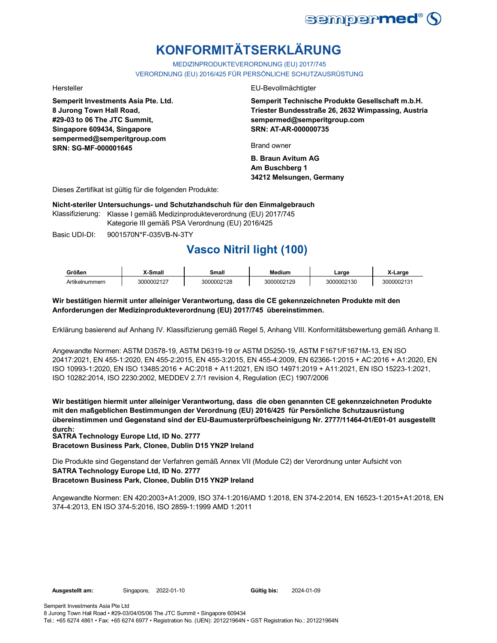

# **KONFORMITÄTSERKLÄRUNG**

MEDIZINPRODUKTEVERORDNUNG (EU) 2017/745 VERORDNUNG (EU) 2016/425 FÜR PERSÖNLICHE SCHUTZAUSRÜSTUNG

**Semperit Investments Asia Pte. Ltd. 8 Jurong Town Hall Road, #29-03 to 06 The JTC Summit, Singapore 609434, Singapore sempermed@semperitgroup.com SRN: SG-MF-000001645**

#### Hersteller EU-Bevollmächtigter

**Semperit Technische Produkte Gesellschaft m.b.H. Triester Bundesstraße 26, 2632 Wimpassing, Austria sempermed@semperitgroup.com SRN: AT-AR-000000735**

Brand owner

**B. Braun Avitum AG Am Buschberg 1 34212 Melsungen, Germany**

Dieses Zertifikat ist gültig für die folgenden Produkte:

**Nicht-steriler Untersuchungs- und Schutzhandschuh für den Einmalgebrauch**

Klassifizierung: Klasse I gemäß Medizinprodukteverordnung (EU) 2017/745 Kategorie III gemäß PSA Verordnung (EU) 2016/425

Basic UDI-DI: 9001570N\*F-035VB-N-3TY

## **Vasco Nitril light (100)**

| Größen         | <b>Small</b> | Small      | Medium     | ∟arɑe      | ·Large     |
|----------------|--------------|------------|------------|------------|------------|
| Artikelnummern | 3000002127   | 3000002128 | 3000002129 | 3000002130 | 3000002131 |

## **Wir bestätigen hiermit unter alleiniger Verantwortung, dass die CE gekennzeichneten Produkte mit den Anforderungen der Medizinprodukteverordnung (EU) 2017/745 übereinstimmen.**

Erklärung basierend auf Anhang IV. Klassifizierung gemäß Regel 5, Anhang VIII. Konformitätsbewertung gemäß Anhang II.

Angewandte Normen: ASTM D3578-19, ASTM D6319-19 or ASTM D5250-19, ASTM F1671/F1671M-13, EN ISO 20417:2021, EN 455-1:2020, EN 455-2:2015, EN 455-3:2015, EN 455-4:2009, EN 62366-1:2015 + AC:2016 + A1:2020, EN ISO 10993-1:2020, EN ISO 13485:2016 + AC:2018 + A11:2021, EN ISO 14971:2019 + A11:2021, EN ISO 15223-1:2021, ISO 10282:2014, ISO 2230:2002, MEDDEV 2.7/1 revision 4, Regulation (EC) 1907/2006

**Wir bestätigen hiermit unter alleiniger Verantwortung, dass die oben genannten CE gekennzeichneten Produkte mit den maßgeblichen Bestimmungen der Verordnung (EU) 2016/425 für Persönliche Schutzausrüstung übereinstimmen und Gegenstand sind der EU-Baumusterprüfbescheinigung Nr. 2777/11464-01/E01-01 ausgestellt durch:**

**SATRA Technology Europe Ltd, ID No. 2777**

**Bracetown Business Park, Clonee, Dublin D15 YN2P Ireland**

Die Produkte sind Gegenstand der Verfahren gemäß Annex VII (Module C2) der Verordnung unter Aufsicht von **SATRA Technology Europe Ltd, ID No. 2777 Bracetown Business Park, Clonee, Dublin D15 YN2P Ireland**

Angewandte Normen: EN 420:2003+A1:2009, ISO 374-1:2016/AMD 1:2018, EN 374-2:2014, EN 16523-1:2015+A1:2018, EN 374-4:2013, EN ISO 374-5:2016, ISO 2859-1:1999 AMD 1:2011

Gültig bis: 2024-01-09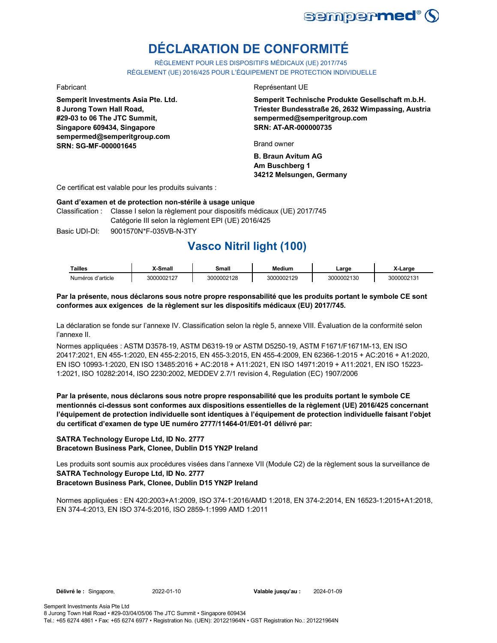

# **DÉCLARATION DE CONFORMITÉ**

RÈGLEMENT POUR LES DISPOSITIFS MÉDICAUX (UE) 2017/745 RÈGLEMENT (UE) 2016/425 POUR L'ÉQUIPEMENT DE PROTECTION INDIVIDUELLE

**Semperit Investments Asia Pte. Ltd. 8 Jurong Town Hall Road, #29-03 to 06 The JTC Summit, Singapore 609434, Singapore sempermed@semperitgroup.com SRN: SG-MF-000001645**

### Fabricant **Exercísies** Contract Contract Contract Contract Contract Contract Contract Contract Contract Contract Contract Contract Contract Contract Contract Contract Contract Contract Contract Contract Contract Contract C

**Semperit Technische Produkte Gesellschaft m.b.H. Triester Bundesstraße 26, 2632 Wimpassing, Austria sempermed@semperitgroup.com SRN: AT-AR-000000735**

Brand owner

**B. Braun Avitum AG Am Buschberg 1 34212 Melsungen, Germany**

Ce certificat est valable pour les produits suivants :

## **Gant d'examen et de protection non-stérile à usage unique**

Classification : Classe I selon la règlement pour dispositifs médicaux (UE) 2017/745 Catégorie III selon la règlement EPI (UE) 2016/425

Basic UDI-DI: 9001570N\*F-035VB-N-3TY 9001570N\*F-035VB-N

## **Vasco Nitril light (100)**

| <b>Tailles</b>    | X-Small    | Small      | <b>Medium</b> | ∟arɑe      | X-Large    |
|-------------------|------------|------------|---------------|------------|------------|
| Numéros d'article | 3000002127 | 3000002128 | 3000002129    | 3000002130 | 3000002131 |

## **Par la présente, nous déclarons sous notre propre responsabilité que les produits portant le symbole CE sont conformes aux exigences de la règlement sur les dispositifs médicaux (EU) 2017/745.**

La déclaration se fonde sur l'annexe IV. Classification selon la règle 5, annexe VIII. Évaluation de la conformité selon l'annexe II.

Normes appliquées : ASTM D3578-19, ASTM D6319-19 or ASTM D5250-19, ASTM F1671/F1671M-13, EN ISO 20417:2021, EN 455-1:2020, EN 455-2:2015, EN 455-3:2015, EN 455-4:2009, EN 62366-1:2015 + AC:2016 + A1:2020, EN ISO 10993-1:2020, EN ISO 13485:2016 + AC:2018 + A11:2021, EN ISO 14971:2019 + A11:2021, EN ISO 15223- 1:2021, ISO 10282:2014, ISO 2230:2002, MEDDEV 2.7/1 revision 4, Regulation (EC) 1907/2006

**Par la présente, nous déclarons sous notre propre responsabilité que les produits portant le symbole CE mentionnés ci-dessus sont conformes aux dispositions essentielles de la règlement (UE) 2016/425 concernant l'équipement de protection individuelle sont identiques à l'équipement de protection individuelle faisant l'objet du certificat d'examen de type UE numéro 2777/11464-01/E01-01 délivré par:**

## **SATRA Technology Europe Ltd, ID No. 2777 Bracetown Business Park, Clonee, Dublin D15 YN2P Ireland**

Les produits sont soumis aux procédures visées dans l'annexe VII (Module C2) de la règlement sous la surveillance de **SATRA Technology Europe Ltd, ID No. 2777 Bracetown Business Park, Clonee, Dublin D15 YN2P Ireland**

Normes appliquées : EN 420:2003+A1:2009, ISO 374-1:2016/AMD 1:2018, EN 374-2:2014, EN 16523-1:2015+A1:2018, EN 374-4:2013, EN ISO 374-5:2016, ISO 2859-1:1999 AMD 1:2011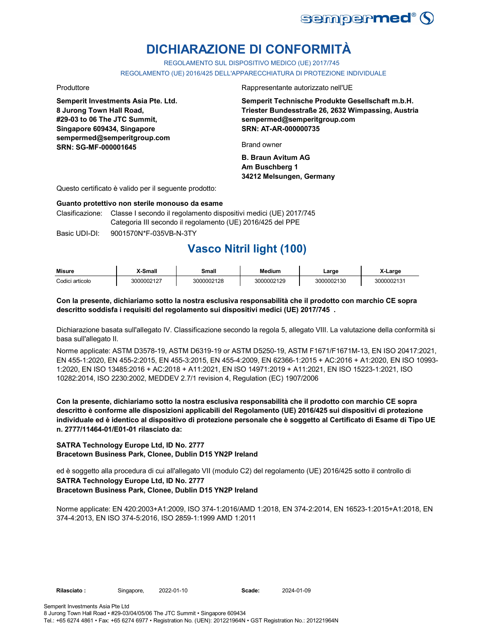

# **DICHIARAZIONE DI CONFORMITÀ**

REGOLAMENTO SUL DISPOSITIVO MEDICO (UE) 2017/745

REGOLAMENTO (UE) 2016/425 DELL'APPARECCHIATURA DI PROTEZIONE INDIVIDUALE

**Semperit Investments Asia Pte. Ltd. 8 Jurong Town Hall Road, #29-03 to 06 The JTC Summit, Singapore 609434, Singapore sempermed@semperitgroup.com SRN: SG-MF-000001645**

Produttore **Rappresentante autorizzato nell'UE** 

**Semperit Technische Produkte Gesellschaft m.b.H. Triester Bundesstraße 26, 2632 Wimpassing, Austria sempermed@semperitgroup.com SRN: AT-AR-000000735**

Brand owner

**B. Braun Avitum AG Am Buschberg 1 34212 Melsungen, Germany**

Questo certificato è valido per il seguente prodotto:

### **Guanto protettivo non sterile monouso da esame**

Clasificazione: Classe I secondo il regolamento dispositivi medici (UE) 2017/745 Categoria III secondo il regolamento (UE) 2016/425 del PPE

Basic UDI-DI: 9001570N\*F-035VB-N-3TY

## **Vasco Nitril light (100)**

| Misure          | X-Small    | Small      | Medium     | ∟arɑe      | X-Large    |
|-----------------|------------|------------|------------|------------|------------|
| Codici articolo | 3000002127 | 3000002128 | 3000002129 | 3000002130 | 3000002131 |

## **Con la presente, dichiariamo sotto la nostra esclusiva responsabilità che il prodotto con marchio CE sopra descritto soddisfa i requisiti del regolamento sui dispositivi medici (UE) 2017/745 .**

Dichiarazione basata sull'allegato IV. Classificazione secondo la regola 5, allegato VIII. La valutazione della conformità si basa sull'allegato II.

Norme applicate: ASTM D3578-19, ASTM D6319-19 or ASTM D5250-19, ASTM F1671/F1671M-13, EN ISO 20417:2021, EN 455-1:2020, EN 455-2:2015, EN 455-3:2015, EN 455-4:2009, EN 62366-1:2015 + AC:2016 + A1:2020, EN ISO 10993- 1:2020, EN ISO 13485:2016 + AC:2018 + A11:2021, EN ISO 14971:2019 + A11:2021, EN ISO 15223-1:2021, ISO 10282:2014, ISO 2230:2002, MEDDEV 2.7/1 revision 4, Regulation (EC) 1907/2006

**Con la presente, dichiariamo sotto la nostra esclusiva responsabilità che il prodotto con marchio CE sopra descritto è conforme alle disposizioni applicabili del Regolamento (UE) 2016/425 sui dispositivi di protezione individuale ed è identico al dispositivo di protezione personale che è soggetto al Certificato di Esame di Tipo UE n. 2777/11464-01/E01-01 rilasciato da:**

## **SATRA Technology Europe Ltd, ID No. 2777 Bracetown Business Park, Clonee, Dublin D15 YN2P Ireland**

ed è soggetto alla procedura di cui all'allegato VII (modulo C2) del regolamento (UE) 2016/425 sotto il controllo di **SATRA Technology Europe Ltd, ID No. 2777 Bracetown Business Park, Clonee, Dublin D15 YN2P Ireland**

Norme applicate: EN 420:2003+A1:2009, ISO 374-1:2016/AMD 1:2018, EN 374-2:2014, EN 16523-1:2015+A1:2018, EN 374-4:2013, EN ISO 374-5:2016, ISO 2859-1:1999 AMD 1:2011

2022-01-10 2024-01-09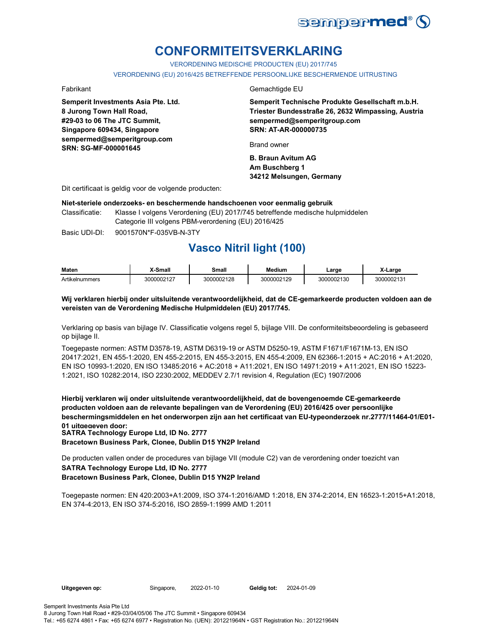

## **CONFORMITEITSVERKLARING**

VERORDENING MEDISCHE PRODUCTEN (EU) 2017/745

VERORDENING (EU) 2016/425 BETREFFENDE PERSOONLIJKE BESCHERMENDE UITRUSTING

**Semperit Investments Asia Pte. Ltd. 8 Jurong Town Hall Road, #29-03 to 06 The JTC Summit, Singapore 609434, Singapore sempermed@semperitgroup.com SRN: SG-MF-000001645**

### Fabrikant Gemachtigde EU

**Semperit Technische Produkte Gesellschaft m.b.H. Triester Bundesstraße 26, 2632 Wimpassing, Austria sempermed@semperitgroup.com SRN: AT-AR-000000735**

Brand owner

**B. Braun Avitum AG Am Buschberg 1 34212 Melsungen, Germany**

Dit certificaat is geldig voor de volgende producten:

#### **Niet-steriele onderzoeks- en beschermende handschoenen voor eenmalig gebruik**

Classificatie: Klasse I volgens Verordening (EU) 2017/745 betreffende medische hulpmiddelen Categorie III volgens PBM-verordening (EU) 2016/425

Basic UDI-DI: 9001570N\*F-035VB-N-3TY 9001570N\*F-035VB-N-3

## **Vasco Nitril light (100)**

| <b>Maten</b>               | <sup>Y</sup> -Small | Small      | <b>Medium</b> | Large      | X-Large    |
|----------------------------|---------------------|------------|---------------|------------|------------|
| $\cdots$<br>Artikelnummers | 3000002127          | 3000002128 | 3000002129    | 3000002130 | 3000002131 |

## **Wij verklaren hierbij onder uitsluitende verantwoordelijkheid, dat de CE-gemarkeerde producten voldoen aan de vereisten van de Verordening Medische Hulpmiddelen (EU) 2017/745.**

Verklaring op basis van bijlage IV. Classificatie volgens regel 5, bijlage VIII. De conformiteitsbeoordeling is gebaseerd op bijlage II.

Toegepaste normen: ASTM D3578-19, ASTM D6319-19 or ASTM D5250-19, ASTM F1671/F1671M-13, EN ISO 20417:2021, EN 455-1:2020, EN 455-2:2015, EN 455-3:2015, EN 455-4:2009, EN 62366-1:2015 + AC:2016 + A1:2020, EN ISO 10993-1:2020, EN ISO 13485:2016 + AC:2018 + A11:2021, EN ISO 14971:2019 + A11:2021, EN ISO 15223- 1:2021, ISO 10282:2014, ISO 2230:2002, MEDDEV 2.7/1 revision 4, Regulation (EC) 1907/2006

**Hierbij verklaren wij onder uitsluitende verantwoordelijkheid, dat de bovengenoemde CE-gemarkeerde producten voldoen aan de relevante bepalingen van de Verordening (EU) 2016/425 over persoonlijke beschermingsmiddelen en het onderworpen zijn aan het certificaat van EU-typeonderzoek nr.2777/11464-01/E01- 01 uitgegeven door:**

**SATRA Technology Europe Ltd, ID No. 2777**

**Bracetown Business Park, Clonee, Dublin D15 YN2P Ireland**

De producten vallen onder de procedures van bijlage VII (module C2) van de verordening onder toezicht van **SATRA Technology Europe Ltd, ID No. 2777**

**Bracetown Business Park, Clonee, Dublin D15 YN2P Ireland**

Toegepaste normen: EN 420:2003+A1:2009, ISO 374-1:2016/AMD 1:2018, EN 374-2:2014, EN 16523-1:2015+A1:2018, EN 374-4:2013, EN ISO 374-5:2016, ISO 2859-1:1999 AMD 1:2011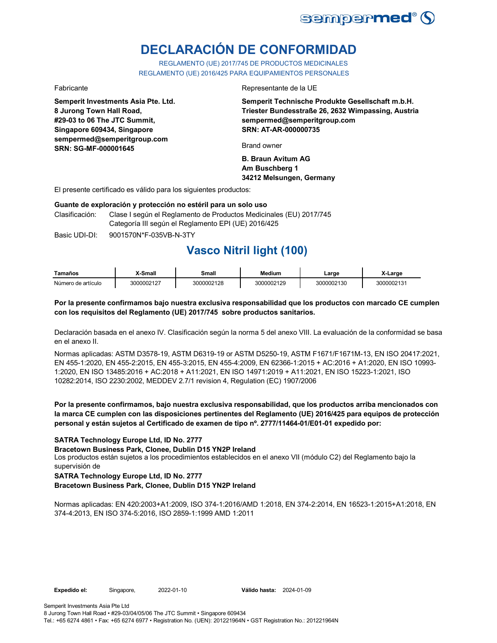

# **DECLARACIÓN DE CONFORMIDAD**

REGLAMENTO (UE) 2017/745 DE PRODUCTOS MEDICINALES REGLAMENTO (UE) 2016/425 PARA EQUIPAMIENTOS PERSONALES

**Semperit Investments Asia Pte. Ltd. 8 Jurong Town Hall Road, #29-03 to 06 The JTC Summit, Singapore 609434, Singapore sempermed@semperitgroup.com SRN: SG-MF-000001645**

#### Fabricante Representante de la UE

**Semperit Technische Produkte Gesellschaft m.b.H. Triester Bundesstraße 26, 2632 Wimpassing, Austria sempermed@semperitgroup.com SRN: AT-AR-000000735**

Brand owner

**B. Braun Avitum AG Am Buschberg 1 34212 Melsungen, Germany**

El presente certificado es válido para los siguientes productos:

#### **Guante de exploración y protección no estéril para un solo uso**

Clasificación: Clase I según el Reglamento de Productos Medicinales (EU) 2017/745 Categoría III según el Reglamento EPI (UE) 2016/425

Basic UDI-DI: 9001570N\*F-035VB-N-3TY 9001570N\*F-035VB-N-3T

## **Vasco Nitril light (100)**

| Tamaños            | <b>K-Small</b> | <b>Small</b> | Medium     | ∟arge      | X-Large    |
|--------------------|----------------|--------------|------------|------------|------------|
| Número de artículo | 3000002127     | 3000002128   | 3000002129 | 3000002130 | 3000002131 |

## **Por la presente confirmamos bajo nuestra exclusiva responsabilidad que los productos con marcado CE cumplen con los requisitos del Reglamento (UE) 2017/745 sobre productos sanitarios.**

Declaración basada en el anexo IV. Clasificación según la norma 5 del anexo VIII. La evaluación de la conformidad se basa en el anexo II.

Normas aplicadas: ASTM D3578-19, ASTM D6319-19 or ASTM D5250-19, ASTM F1671/F1671M-13, EN ISO 20417:2021, EN 455-1:2020, EN 455-2:2015, EN 455-3:2015, EN 455-4:2009, EN 62366-1:2015 + AC:2016 + A1:2020, EN ISO 10993- 1:2020, EN ISO 13485:2016 + AC:2018 + A11:2021, EN ISO 14971:2019 + A11:2021, EN ISO 15223-1:2021, ISO 10282:2014, ISO 2230:2002, MEDDEV 2.7/1 revision 4, Regulation (EC) 1907/2006

## **Por la presente confirmamos, bajo nuestra exclusiva responsabilidad, que los productos arriba mencionados con la marca CE cumplen con las disposiciones pertinentes del Reglamento (UE) 2016/425 para equipos de protección personal y están sujetos al Certificado de examen de tipo nº. 2777/11464-01/E01-01 expedido por:**

**SATRA Technology Europe Ltd, ID No. 2777**

**Bracetown Business Park, Clonee, Dublin D15 YN2P Ireland**

Los productos están sujetos a los procedimientos establecidos en el anexo VII (módulo C2) del Reglamento bajo la supervisión de

### **SATRA Technology Europe Ltd, ID No. 2777 Bracetown Business Park, Clonee, Dublin D15 YN2P Ireland**

Normas aplicadas: EN 420:2003+A1:2009, ISO 374-1:2016/AMD 1:2018, EN 374-2:2014, EN 16523-1:2015+A1:2018, EN 374-4:2013, EN ISO 374-5:2016, ISO 2859-1:1999 AMD 1:2011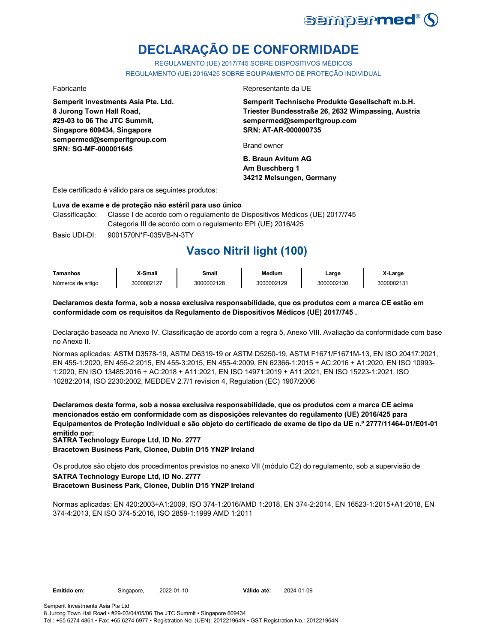

# **DECLARAÇÃO DE CONFORMIDADE**

REGULAMENTO (UE) 2017/745 SOBRE DISPOSITIVOS MÉDICOS REGULAMENTO (UE) 2016/425 SOBRE EQUIPAMENTO DE PROTEÇÃO INDIVIDUAL

**Semperit Investments Asia Pte. Ltd. 8 Jurong Town Hall Road, #29-03 to 06 The JTC Summit, Singapore 609434, Singapore sempermed@semperitgroup.com SRN: SG-MF-000001645**

### Fabricante Representante da UE

**Semperit Technische Produkte Gesellschaft m.b.H. Triester Bundesstraße 26, 2632 Wimpassing, Austria sempermed@semperitgroup.com SRN: AT-AR-000000735**

Brand owner

**B. Braun Avitum AG Am Buschberg 1 34212 Melsungen, Germany**

Este certificado é válido para os seguintes produtos:

#### **Luva de exame e de proteção não estéril para uso único**

Classificação: Classe I de acordo com o regulamento de Dispositivos Médicos (UE) 2017/745 Categoria III de acordo com o regulamento EPI (UE) 2016/425

Basic UDI-DI: 9001570N\*F-035VB-N-3TY 9001570N\*F-035VB-N-3T

## **Vasco Nitril light (100)**

| Tamanhos          | X-Small    | Small      | <b>Medium</b> | ∟arge      | X-Large    |
|-------------------|------------|------------|---------------|------------|------------|
| Números de artigo | 3000002127 | 3000002128 | 3000002129    | 3000002130 | 3000002131 |

## **Declaramos desta forma, sob a nossa exclusiva responsabilidade, que os produtos com a marca CE estão em conformidade com os requisitos da Regulamento de Dispositivos Médicos (UE) 2017/745 .**

Declaração baseada no Anexo IV. Classificação de acordo com a regra 5, Anexo VIII. Avaliação da conformidade com base no Anexo II.

Normas aplicadas: ASTM D3578-19, ASTM D6319-19 or ASTM D5250-19, ASTM F1671/F1671M-13, EN ISO 20417:2021, EN 455-1:2020, EN 455-2:2015, EN 455-3:2015, EN 455-4:2009, EN 62366-1:2015 + AC:2016 + A1:2020, EN ISO 10993- 1:2020, EN ISO 13485:2016 + AC:2018 + A11:2021, EN ISO 14971:2019 + A11:2021, EN ISO 15223-1:2021, ISO 10282:2014, ISO 2230:2002, MEDDEV 2.7/1 revision 4, Regulation (EC) 1907/2006

**Declaramos desta forma, sob a nossa exclusiva responsabilidade, que os produtos com a marca CE acima mencionados estão em conformidade com as disposições relevantes do regulamento (UE) 2016/425 para Equipamentos de Proteção Individual e são objeto do certificado de exame de tipo da UE n.º 2777/11464-01/E01-01 emitido por: SATRA Technology Europe Ltd, ID No. 2777**

**Bracetown Business Park, Clonee, Dublin D15 YN2P Ireland**

Os produtos são objeto dos procedimentos previstos no anexo VII (módulo C2) do regulamento, sob a supervisão de **SATRA Technology Europe Ltd, ID No. 2777**

## **Bracetown Business Park, Clonee, Dublin D15 YN2P Ireland**

Normas aplicadas: EN 420:2003+A1:2009, ISO 374-1:2016/AMD 1:2018, EN 374-2:2014, EN 16523-1:2015+A1:2018, EN 374-4:2013, EN ISO 374-5:2016, ISO 2859-1:1999 AMD 1:2011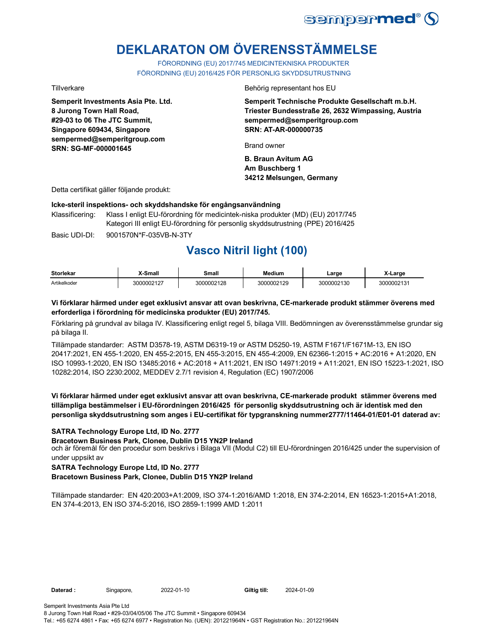

# **DEKLARATON OM ÖVERENSSTÄMMELSE**

FÖRORDNING (EU) 2017/745 MEDICINTEKNISKA PRODUKTER FÖRORDNING (EU) 2016/425 FÖR PERSONLIG SKYDDSUTRUSTNING

**Semperit Investments Asia Pte. Ltd. 8 Jurong Town Hall Road, #29-03 to 06 The JTC Summit, Singapore 609434, Singapore sempermed@semperitgroup.com SRN: SG-MF-000001645**

Tillverkare **Behörig representant hos EU** 

**Semperit Technische Produkte Gesellschaft m.b.H. Triester Bundesstraße 26, 2632 Wimpassing, Austria sempermed@semperitgroup.com SRN: AT-AR-000000735**

Brand owner

**B. Braun Avitum AG Am Buschberg 1 34212 Melsungen, Germany**

Detta certifikat gäller följande produkt:

## **Icke-steril inspektions- och skyddshandske för engångsanvändning**

Klassificering: Klass I enligt EU-förordning för medicintek-niska produkter (MD) (EU) 2017/745 Kategori III enligt EU-förordning för personlig skyddsutrustning (PPE) 2016/425

Basic UDI-DI: 9001570N\*F-035VB-N-3TY 9001570N\*F-035VB-N-3T

## **Vasco Nitril light (100)**

| <b>Storlekar</b> | X-Small    | Small      | <b>Medium</b> | Large      | X-Large    |
|------------------|------------|------------|---------------|------------|------------|
| Artikelkoder     | 3000002127 | 3000002128 | 3000002129    | 3000002130 | 3000002131 |

## **Vi förklarar härmed under eget exklusivt ansvar att ovan beskrivna, CE-markerade produkt stämmer överens med erforderliga i förordning för medicinska produkter (EU) 2017/745.**

Förklaring på grundval av bilaga IV. Klassificering enligt regel 5, bilaga VIII. Bedömningen av överensstämmelse grundar sig på bilaga II.

Tillämpade standarder: ASTM D3578-19, ASTM D6319-19 or ASTM D5250-19, ASTM F1671/F1671M-13, EN ISO 20417:2021, EN 455-1:2020, EN 455-2:2015, EN 455-3:2015, EN 455-4:2009, EN 62366-1:2015 + AC:2016 + A1:2020, EN ISO 10993-1:2020, EN ISO 13485:2016 + AC:2018 + A11:2021, EN ISO 14971:2019 + A11:2021, EN ISO 15223-1:2021, ISO 10282:2014, ISO 2230:2002, MEDDEV 2.7/1 revision 4, Regulation (EC) 1907/2006

**Vi förklarar härmed under eget exklusivt ansvar att ovan beskrivna, CE-markerade produkt stämmer överens med tillämpliga bestämmelser i EU-förordningen 2016/425 för personlig skyddsutrustning och är identisk med den personliga skyddsutrustning som anges i EU-certifikat för typgranskning nummer2777/11464-01/E01-01 daterad av:**

## **SATRA Technology Europe Ltd, ID No. 2777**

**Bracetown Business Park, Clonee, Dublin D15 YN2P Ireland**

och är föremål för den procedur som beskrivs i Bilaga VII (Modul C2) till EU-förordningen 2016/425 under the supervision of under uppsikt av

**SATRA Technology Europe Ltd, ID No. 2777**

**Bracetown Business Park, Clonee, Dublin D15 YN2P Ireland**

Tillämpade standarder: EN 420:2003+A1:2009, ISO 374-1:2016/AMD 1:2018, EN 374-2:2014, EN 16523-1:2015+A1:2018, EN 374-4:2013, EN ISO 374-5:2016, ISO 2859-1:1999 AMD 1:2011

**Daterad :** Singapore, 2022-01-10

Giltig till: 2024-01-09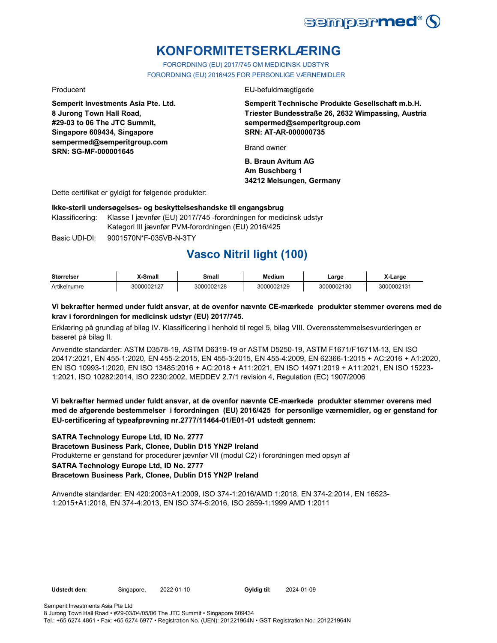

## **KONFORMITETSERKLÆRING**

FORORDNING (EU) 2017/745 OM MEDICINSK UDSTYR FORORDNING (EU) 2016/425 FOR PERSONLIGE VÆRNEMIDLER

**Semperit Investments Asia Pte. Ltd. 8 Jurong Town Hall Road, #29-03 to 06 The JTC Summit, Singapore 609434, Singapore sempermed@semperitgroup.com SRN: SG-MF-000001645**

### Producent EU-befuldmægtigede

**Semperit Technische Produkte Gesellschaft m.b.H. Triester Bundesstraße 26, 2632 Wimpassing, Austria sempermed@semperitgroup.com SRN: AT-AR-000000735**

Brand owner

**B. Braun Avitum AG Am Buschberg 1 34212 Melsungen, Germany**

Dette certifikat er gyldigt for følgende produkter:

## **Ikke-steril undersøgelses- og beskyttelseshandske til engangsbrug**

Klassificering: Klasse I jævnfør (EU) 2017/745 -forordningen for medicinsk udstyr Kategori III jævnfør PVM-forordningen (EU) 2016/425

Basic UDI-DI: 9001570N\*F-035VB-N-3TY 9001570N\*F-035VB-N-3

## **Vasco Nitril light (100)**

| <b>Størrelser</b> | X-Small    | Small      | <b>Medium</b> | Large      | X-Large    |
|-------------------|------------|------------|---------------|------------|------------|
| Artikelnumre      | 3000002127 | 3000002128 | 3000002129    | 3000002130 | 3000002131 |

## **Vi bekræfter hermed under fuldt ansvar, at de ovenfor nævnte CE-mærkede produkter stemmer overens med de krav i forordningen for medicinsk udstyr (EU) 2017/745.**

Erklæring på grundlag af bilag IV. Klassificering i henhold til regel 5, bilag VIII. Overensstemmelsesvurderingen er baseret på bilag II.

Anvendte standarder: ASTM D3578-19, ASTM D6319-19 or ASTM D5250-19, ASTM F1671/F1671M-13, EN ISO 20417:2021, EN 455-1:2020, EN 455-2:2015, EN 455-3:2015, EN 455-4:2009, EN 62366-1:2015 + AC:2016 + A1:2020, EN ISO 10993-1:2020, EN ISO 13485:2016 + AC:2018 + A11:2021, EN ISO 14971:2019 + A11:2021, EN ISO 15223- 1:2021, ISO 10282:2014, ISO 2230:2002, MEDDEV 2.7/1 revision 4, Regulation (EC) 1907/2006

## **Vi bekræfter hermed under fuldt ansvar, at de ovenfor nævnte CE-mærkede produkter stemmer overens med med de afgørende bestemmelser i forordningen (EU) 2016/425 for personlige værnemidler, og er genstand for EU-certificering af typeafprøvning nr.2777/11464-01/E01-01 udstedt gennem:**

**SATRA Technology Europe Ltd, ID No. 2777**

**Bracetown Business Park, Clonee, Dublin D15 YN2P Ireland**

Produkterne er genstand for procedurer jævnfør VII (modul C2) i forordningen med opsyn af

**SATRA Technology Europe Ltd, ID No. 2777**

**Bracetown Business Park, Clonee, Dublin D15 YN2P Ireland**

Anvendte standarder: EN 420:2003+A1:2009, ISO 374-1:2016/AMD 1:2018, EN 374-2:2014, EN 16523- 1:2015+A1:2018, EN 374-4:2013, EN ISO 374-5:2016, ISO 2859-1:1999 AMD 1:2011

Udstedt den: Singapore, 2022-01-10 Gyldig til: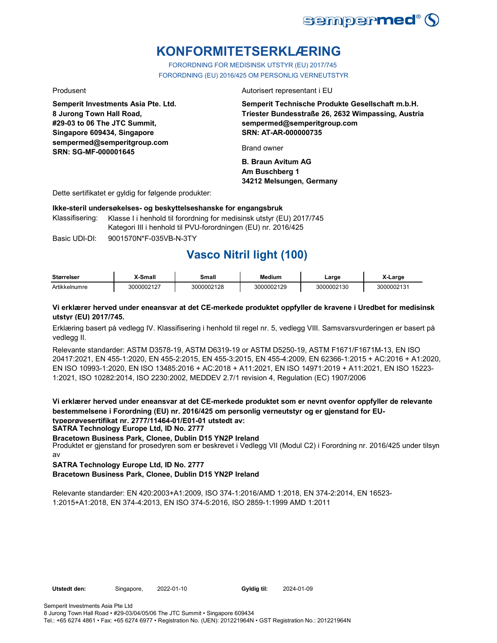

## **KONFORMITETSERKLÆRING**

FORORDNING FOR MEDISINSK UTSTYR (EU) 2017/745 FORORDNING (EU) 2016/425 OM PERSONLIG VERNEUTSTYR

**Semperit Investments Asia Pte. Ltd. 8 Jurong Town Hall Road, #29-03 to 06 The JTC Summit, Singapore 609434, Singapore sempermed@semperitgroup.com SRN: SG-MF-000001645**

Produsent Autorisert representant i EU

**Semperit Technische Produkte Gesellschaft m.b.H. Triester Bundesstraße 26, 2632 Wimpassing, Austria sempermed@semperitgroup.com SRN: AT-AR-000000735**

Brand owner

**B. Braun Avitum AG Am Buschberg 1 34212 Melsungen, Germany**

Dette sertifikatet er gyldig for følgende produkter:

### **Ikke-steril undersøkelses- og beskyttelseshanske for engangsbruk**

Klassifisering: Klasse I i henhold til forordning for medisinsk utstyr (EU) 2017/745 Kategori III i henhold til PVU-forordningen (EU) nr. 2016/425

Basic UDI-DI: 9001570N\*F-035VB-N-3TY

## **Vasco Nitril light (100)**

| <b>Størrelser</b> | X-Small    | Small      | <b>Medium</b> | ∟arge      | -Large     |
|-------------------|------------|------------|---------------|------------|------------|
| Artikkelnumre     | 3000002127 | 3000002128 | 000002129     | 3000002130 | 3000002131 |

### **Vi erklærer herved under eneansvar at det CE-merkede produktet oppfyller de kravene i Uredbet for medisinsk utstyr (EU) 2017/745.**

Erklæring basert på vedlegg IV. Klassifisering i henhold til regel nr. 5, vedlegg VIII. Samsvarsvurderingen er basert på vedlegg II.

Relevante standarder: ASTM D3578-19, ASTM D6319-19 or ASTM D5250-19, ASTM F1671/F1671M-13, EN ISO 20417:2021, EN 455-1:2020, EN 455-2:2015, EN 455-3:2015, EN 455-4:2009, EN 62366-1:2015 + AC:2016 + A1:2020, EN ISO 10993-1:2020, EN ISO 13485:2016 + AC:2018 + A11:2021, EN ISO 14971:2019 + A11:2021, EN ISO 15223- 1:2021, ISO 10282:2014, ISO 2230:2002, MEDDEV 2.7/1 revision 4, Regulation (EC) 1907/2006

**Vi erklærer herved under eneansvar at det CE-merkede produktet som er nevnt ovenfor oppfyller de relevante bestemmelsene i Forordning (EU) nr. 2016/425 om personlig verneutstyr og er gjenstand for EUtypeprøvesertifikat nr. 2777/11464-01/E01-01 utstedt av:**

**SATRA Technology Europe Ltd, ID No. 2777**

**Bracetown Business Park, Clonee, Dublin D15 YN2P Ireland**

Produktet er gjenstand for prosedyren som er beskrevet i Vedlegg VII (Modul C2) i Forordning nr. 2016/425 under tilsyn av

**SATRA Technology Europe Ltd, ID No. 2777**

**Bracetown Business Park, Clonee, Dublin D15 YN2P Ireland**

Relevante standarder: EN 420:2003+A1:2009, ISO 374-1:2016/AMD 1:2018, EN 374-2:2014, EN 16523- 1:2015+A1:2018, EN 374-4:2013, EN ISO 374-5:2016, ISO 2859-1:1999 AMD 1:2011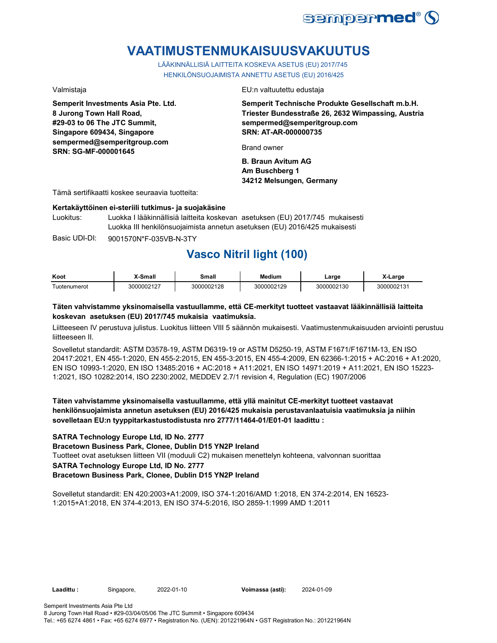

## **VAATIMUSTENMUKAISUUSVAKUUTUS**

LÄÄKINNÄLLISIÄ LAITTEITA KOSKEVA ASETUS (EU) 2017/745 HENKILÖNSUOJAIMISTA ANNETTU ASETUS (EU) 2016/425

**Semperit Investments Asia Pte. Ltd. 8 Jurong Town Hall Road, #29-03 to 06 The JTC Summit, Singapore 609434, Singapore sempermed@semperitgroup.com SRN: SG-MF-000001645**

Valmistaja EU:n valtuutettu edustaja

**Semperit Technische Produkte Gesellschaft m.b.H. Triester Bundesstraße 26, 2632 Wimpassing, Austria sempermed@semperitgroup.com SRN: AT-AR-000000735**

Brand owner

**B. Braun Avitum AG Am Buschberg 1 34212 Melsungen, Germany**

Tämä sertifikaatti koskee seuraavia tuotteita:

### **Kertakäyttöinen ei-steriili tutkimus- ja suojakäsine**

Luokitus: Luokka I lääkinnällisiä laitteita koskevan asetuksen (EU) 2017/745 mukaisesti Luokka III henkilönsuojaimista annetun asetuksen (EU) 2016/425 mukaisesti

Basic UDI-DI: 9001570N\*F-035VB-N-3TY

## **Vasco Nitril light (100)**

| Koot                                             | <b>X-Small</b> | <b>Small</b> | <b>Medium</b> | ∟arge      | _arɑe      |
|--------------------------------------------------|----------------|--------------|---------------|------------|------------|
| $\overline{\phantom{a}}$<br><u>I</u> uotenumerot | 3000002127     | 3000002128   | 3000002129    | 3000002130 | 3000002131 |

## **Täten vahvistamme yksinomaisella vastuullamme, että CE-merkityt tuotteet vastaavat lääkinnällisiä laitteita koskevan asetuksen (EU) 2017/745 mukaisia vaatimuksia.**

Liitteeseen IV perustuva julistus. Luokitus liitteen VIII 5 säännön mukaisesti. Vaatimustenmukaisuuden arviointi perustuu liitteeseen II.

Sovelletut standardit: ASTM D3578-19, ASTM D6319-19 or ASTM D5250-19, ASTM F1671/F1671M-13, EN ISO 20417:2021, EN 455-1:2020, EN 455-2:2015, EN 455-3:2015, EN 455-4:2009, EN 62366-1:2015 + AC:2016 + A1:2020, EN ISO 10993-1:2020, EN ISO 13485:2016 + AC:2018 + A11:2021, EN ISO 14971:2019 + A11:2021, EN ISO 15223- 1:2021, ISO 10282:2014, ISO 2230:2002, MEDDEV 2.7/1 revision 4, Regulation (EC) 1907/2006

## **Täten vahvistamme yksinomaisella vastuullamme, että yllä mainitut CE-merkityt tuotteet vastaavat henkilönsuojaimista annetun asetuksen (EU) 2016/425 mukaisia perustavanlaatuisia vaatimuksia ja niihin sovelletaan EU:n tyyppitarkastustodistusta nro 2777/11464-01/E01-01 laadittu :**

## **SATRA Technology Europe Ltd, ID No. 2777**

**Bracetown Business Park, Clonee, Dublin D15 YN2P Ireland**

Tuotteet ovat asetuksen liitteen VII (moduuli C2) mukaisen menettelyn kohteena, valvonnan suorittaa

**SATRA Technology Europe Ltd, ID No. 2777**

**Bracetown Business Park, Clonee, Dublin D15 YN2P Ireland**

Sovelletut standardit: EN 420:2003+A1:2009, ISO 374-1:2016/AMD 1:2018, EN 374-2:2014, EN 16523- 1:2015+A1:2018, EN 374-4:2013, EN ISO 374-5:2016, ISO 2859-1:1999 AMD 1:2011

**Laadittu :** Singapore, **Voimassa (asti):** 2022-01-10 2024-01-09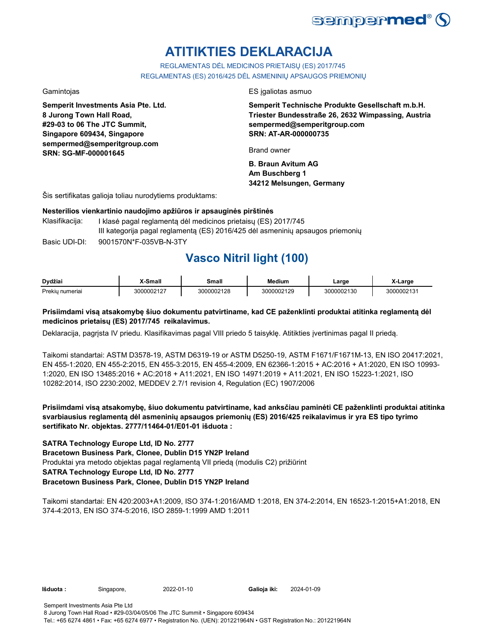

## **ATITIKTIES DEKLARACIJA**

REGLAMENTAS DĖL MEDICINOS PRIETAISŲ (ES) 2017/745 REGLAMENTAS (ES) 2016/425 DĖL ASMENINIŲ APSAUGOS PRIEMONIŲ

**Semperit Investments Asia Pte. Ltd. 8 Jurong Town Hall Road, #29-03 to 06 The JTC Summit, Singapore 609434, Singapore sempermed@semperitgroup.com SRN: SG-MF-000001645**

Gamintojas ES įgaliotas asmuo

**Semperit Technische Produkte Gesellschaft m.b.H. Triester Bundesstraße 26, 2632 Wimpassing, Austria sempermed@semperitgroup.com SRN: AT-AR-000000735**

Brand owner

**B. Braun Avitum AG Am Buschberg 1 34212 Melsungen, Germany**

Šis sertifikatas galioja toliau nurodytiems produktams:

## **Nesterilios vienkartinio naudojimo apžiūros ir apsauginės pirštinės**

Basic UDI-DI: 9001570N\*F-035VB-N-3TY 9001570N\*F-035VB-N-3T Klasifikacija: I klasė pagal reglamentą dėl medicinos prietaisų (ES) 2017/745 III kategorija pagal reglamentą (ES) 2016/425 dėl asmeninių apsaugos priemonių

## **Vasco Nitril light (100)**

| Dvdžiai                 | Small      | Small      | <b>Medium</b> | Large      | _arge     |
|-------------------------|------------|------------|---------------|------------|-----------|
| Prekiu<br><b>umeria</b> | 3000002127 | 3000002128 | 3000002129    | 3000002130 | 000002131 |

## **Prisiimdami visą atsakomybę šiuo dokumentu patvirtiname, kad CE paženklinti produktai atitinka reglamentą dėl medicinos prietaisų (ES) 2017/745 reikalavimus.**

Deklaracija, pagrįsta IV priedu. Klasifikavimas pagal VIII priedo 5 taisyklę. Atitikties įvertinimas pagal II priedą.

Taikomi standartai: ASTM D3578-19, ASTM D6319-19 or ASTM D5250-19, ASTM F1671/F1671M-13, EN ISO 20417:2021, EN 455-1:2020, EN 455-2:2015, EN 455-3:2015, EN 455-4:2009, EN 62366-1:2015 + AC:2016 + A1:2020, EN ISO 10993- 1:2020, EN ISO 13485:2016 + AC:2018 + A11:2021, EN ISO 14971:2019 + A11:2021, EN ISO 15223-1:2021, ISO 10282:2014, ISO 2230:2002, MEDDEV 2.7/1 revision 4, Regulation (EC) 1907/2006

**Prisiimdami visą atsakomybę, šiuo dokumentu patvirtiname, kad anksčiau paminėti CE paženklinti produktai atitinka svarbiausius reglamentą dėl asmeninių apsaugos priemonių (ES) 2016/425 reikalavimus ir yra ES tipo tyrimo sertifikato Nr. objektas. 2777/11464-01/E01-01 išduota :**

## **SATRA Technology Europe Ltd, ID No. 2777**

**Bracetown Business Park, Clonee, Dublin D15 YN2P Ireland**

Produktai yra metodo objektas pagal reglamentą VII priedą (modulis C2) prižiūrint

## **SATRA Technology Europe Ltd, ID No. 2777**

## **Bracetown Business Park, Clonee, Dublin D15 YN2P Ireland**

Taikomi standartai: EN 420:2003+A1:2009, ISO 374-1:2016/AMD 1:2018, EN 374-2:2014, EN 16523-1:2015+A1:2018, EN 374-4:2013, EN ISO 374-5:2016, ISO 2859-1:1999 AMD 1:2011

**Išduota :** Singapore, 2022-01-10

Galioja iki: 2024-01-09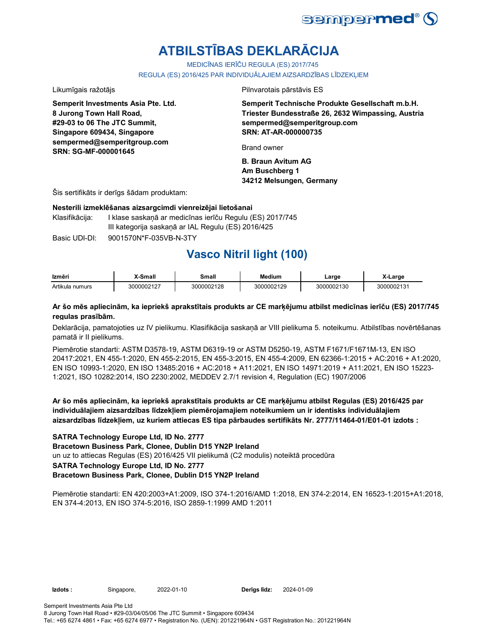

# **ATBILSTĪBAS DEKLARĀCIJA**

MEDICĪNAS IERĪČU REGULA (ES) 2017/745

REGULA (ES) 2016/425 PAR INDIVIDUĀLAJIEM AIZSARDZĪBAS LĪDZEKLIEM

**Semperit Investments Asia Pte. Ltd. 8 Jurong Town Hall Road, #29-03 to 06 The JTC Summit, Singapore 609434, Singapore sempermed@semperitgroup.com SRN: SG-MF-000001645**

Likumīgais ražotājs Pilnvarotais pārstāvis ES

**Semperit Technische Produkte Gesellschaft m.b.H. Triester Bundesstraße 26, 2632 Wimpassing, Austria sempermed@semperitgroup.com SRN: AT-AR-000000735**

Brand owner

**B. Braun Avitum AG Am Buschberg 1 34212 Melsungen, Germany**

Šis sertifikāts ir derīgs šādam produktam:

### **Nesterili izmeklēšanas aizsargcimdi vienreizējai lietošanai**

Klasifikācija: I klase saskanā ar medicīnas ierīču Regulu (ES) 2017/745 III kategorija saskaņā ar IAL Regulu (ES) 2016/425

Basic UDI-DI: 9001570N\*F-035VB-N-3TY

## **Vasco Nitril light (100)**

| Izmēri          | X-Small    | Small      | <b>Medium</b> | Large      | X-Larɑe    |
|-----------------|------------|------------|---------------|------------|------------|
| Artikula numurs | 3000002127 | 3000002128 | 3000002129    | 3000002130 | 3000002131 |

## **Ar šo mēs apliecinām, ka iepriekš aprakstītais produkts ar CE marķējumu atbilst medicīnas ierīču (ES) 2017/745 regulas prasībām.**

Deklarācija, pamatojoties uz IV pielikumu. Klasifikācija saskaņā ar VIII pielikuma 5. noteikumu. Atbilstības novērtēšanas pamatā ir II pielikums.

Piemērotie standarti: ASTM D3578-19, ASTM D6319-19 or ASTM D5250-19, ASTM F1671/F1671M-13, EN ISO 20417:2021, EN 455-1:2020, EN 455-2:2015, EN 455-3:2015, EN 455-4:2009, EN 62366-1:2015 + AC:2016 + A1:2020, EN ISO 10993-1:2020, EN ISO 13485:2016 + AC:2018 + A11:2021, EN ISO 14971:2019 + A11:2021, EN ISO 15223- 1:2021, ISO 10282:2014, ISO 2230:2002, MEDDEV 2.7/1 revision 4, Regulation (EC) 1907/2006

**Ar šo mēs apliecinām, ka iepriekš aprakstītais produkts ar CE marķējumu atbilst Regulas (ES) 2016/425 par individuālajiem aizsardzības līdzekļiem piemērojamajiem noteikumiem un ir identisks individuālajiem aizsardzības līdzekļiem, uz kuriem attiecas ES tipa pārbaudes sertifikāts Nr. 2777/11464-01/E01-01 izdots :**

**SATRA Technology Europe Ltd, ID No. 2777**

**Bracetown Business Park, Clonee, Dublin D15 YN2P Ireland**

un uz to attiecas Regulas (ES) 2016/425 VII pielikumā (C2 modulis) noteiktā procedūra

**SATRA Technology Europe Ltd, ID No. 2777**

**Bracetown Business Park, Clonee, Dublin D15 YN2P Ireland**

Piemērotie standarti: EN 420:2003+A1:2009, ISO 374-1:2016/AMD 1:2018, EN 374-2:2014, EN 16523-1:2015+A1:2018, EN 374-4:2013, EN ISO 374-5:2016, ISO 2859-1:1999 AMD 1:2011

**Izdots :** Singapore, 2022-01-10

Semperit Investments Asia Pte Ltd 8 Jurong Town Hall Road • #29-03/04/05/06 The JTC Summit • Singapore 609434 Tel.: +65 6274 4861 • Fax: +65 6274 6977 • Registration No. (UEN): 201221964N • GST Registration No.: 201221964N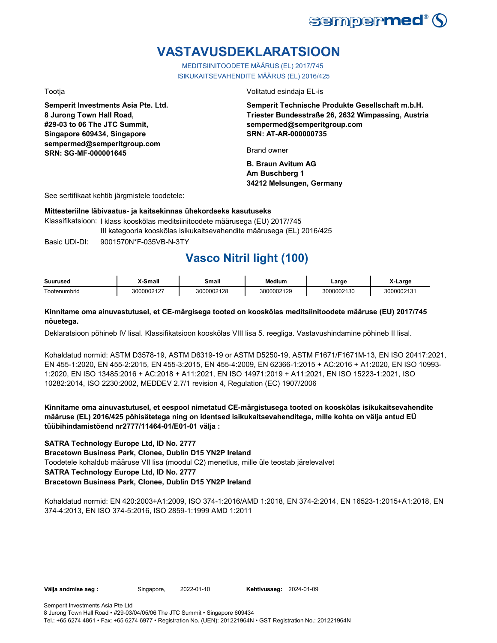

## **VASTAVUSDEKLARATSIOON**

MEDITSIINITOODETE MÄÄRUS (EL) 2017/745 ISIKUKAITSEVAHENDITE MÄÄRUS (EL) 2016/425

**Semperit Investments Asia Pte. Ltd. 8 Jurong Town Hall Road, #29-03 to 06 The JTC Summit, Singapore 609434, Singapore sempermed@semperitgroup.com SRN: SG-MF-000001645**

Tootja Volitatud esindaja EL-is

**Semperit Technische Produkte Gesellschaft m.b.H. Triester Bundesstraße 26, 2632 Wimpassing, Austria sempermed@semperitgroup.com SRN: AT-AR-000000735**

Brand owner

**B. Braun Avitum AG Am Buschberg 1 34212 Melsungen, Germany**

See sertifikaat kehtib järgmistele toodetele:

## **Mittesteriilne läbivaatus- ja kaitsekinnas ühekordseks kasutuseks**

Basic UDI-DI: 9001570N\*F-035VB-N-3TY 9001570N\*F-035VB-N-3T Klassifikatsioon: I klass kooskõlas meditsiinitoodete määrusega (EU) 2017/745 III kategooria kooskõlas isikukaitsevahendite määrusega (EL) 2016/425

## **Vasco Nitril light (100)**

| Suuruseo              | ๛๛<br>шаг     | <br>шан       | <b>Medium</b>          | _argr    | _arge   |
|-----------------------|---------------|---------------|------------------------|----------|---------|
| -<br>enumbrid<br>note | 0.00107<br>ΙZ | ገበበ2128<br>__ | NNN 21 20<br>ח ג<br>__ | 00002130 | ากกกว1. |

## **Kinnitame oma ainuvastutusel, et CE-märgisega tooted on kooskõlas meditsiinitoodete määruse (EU) 2017/745 nõuetega.**

Deklaratsioon põhineb IV lisal. Klassifikatsioon kooskõlas VIII lisa 5. reegliga. Vastavushindamine põhineb II lisal.

Kohaldatud normid: ASTM D3578-19, ASTM D6319-19 or ASTM D5250-19, ASTM F1671/F1671M-13, EN ISO 20417:2021, EN 455-1:2020, EN 455-2:2015, EN 455-3:2015, EN 455-4:2009, EN 62366-1:2015 + AC:2016 + A1:2020, EN ISO 10993- 1:2020, EN ISO 13485:2016 + AC:2018 + A11:2021, EN ISO 14971:2019 + A11:2021, EN ISO 15223-1:2021, ISO 10282:2014, ISO 2230:2002, MEDDEV 2.7/1 revision 4, Regulation (EC) 1907/2006

**Kinnitame oma ainuvastutusel, et eespool nimetatud CE-märgistusega tooted on kooskõlas isikukaitsevahendite määruse (EL) 2016/425 põhisätetega ning on identsed isikukaitsevahenditega, mille kohta on välja antud EÜ tüübihindamistõend nr2777/11464-01/E01-01 välja :**

## **SATRA Technology Europe Ltd, ID No. 2777**

**Bracetown Business Park, Clonee, Dublin D15 YN2P Ireland**

Toodetele kohaldub määruse VII lisa (moodul C2) menetlus, mille üle teostab järelevalvet

## **SATRA Technology Europe Ltd, ID No. 2777**

## **Bracetown Business Park, Clonee, Dublin D15 YN2P Ireland**

Kohaldatud normid: EN 420:2003+A1:2009, ISO 374-1:2016/AMD 1:2018, EN 374-2:2014, EN 16523-1:2015+A1:2018, EN 374-4:2013, EN ISO 374-5:2016, ISO 2859-1:1999 AMD 1:2011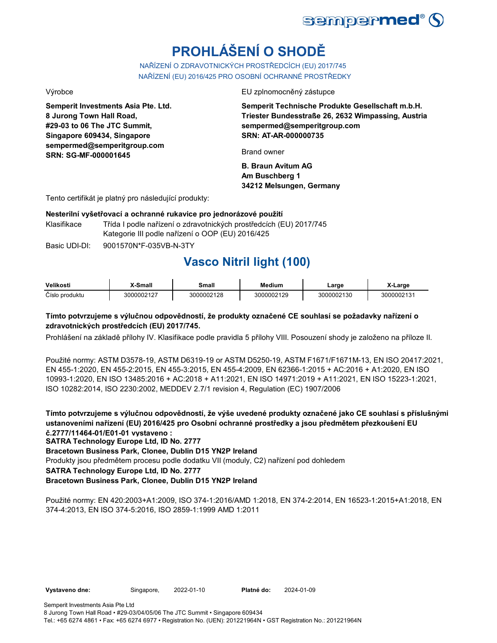

# **PROHLÁŠENÍ O SHODĚ**

NAŘÍZENÍ O ZDRAVOTNICKÝCH PROSTŘEDCÍCH (EU) 2017/745 NAŘÍZENÍ (EU) 2016/425 PRO OSOBNÍ OCHRANNÉ PROSTŘEDKY

**Semperit Investments Asia Pte. Ltd. 8 Jurong Town Hall Road, #29-03 to 06 The JTC Summit, Singapore 609434, Singapore sempermed@semperitgroup.com SRN: SG-MF-000001645**

Výrobce EU zplnomocněný zástupce

**Semperit Technische Produkte Gesellschaft m.b.H. Triester Bundesstraße 26, 2632 Wimpassing, Austria sempermed@semperitgroup.com SRN: AT-AR-000000735**

Brand owner

**B. Braun Avitum AG Am Buschberg 1 34212 Melsungen, Germany**

Tento certifikát je platný pro následující produkty:

## **Nesterilní vyšetřovací a ochranné rukavice pro jednorázové použití**

Klasifikace Třída I podle nařízení o zdravotnických prostředcích (EU) 2017/745 Kategorie III podle nařízení o OOP (EU) 2016/425

Basic UDI-DI: 9001570N\*F-035VB-N-3TY 9001570N\*F-035VB-N-3T

## **Vasco Nitril light (100)**

| Velikosti      | X-Small    | Small      | Medium     | ∟arɑe      | X-Large    |
|----------------|------------|------------|------------|------------|------------|
| Číslo produktu | 3000002127 | 3000002128 | 3000002129 | 3000002130 | 3000002131 |

## **Tímto potvrzujeme s výlučnou odpovědností, že produkty označené CE souhlasí se požadavky nařízení o zdravotnických prostředcích (EU) 2017/745.**

Prohlášení na základě přílohy IV. Klasifikace podle pravidla 5 přílohy VIII. Posouzení shody je založeno na příloze II.

Použité normy: ASTM D3578-19, ASTM D6319-19 or ASTM D5250-19, ASTM F1671/F1671M-13, EN ISO 20417:2021, EN 455-1:2020, EN 455-2:2015, EN 455-3:2015, EN 455-4:2009, EN 62366-1:2015 + AC:2016 + A1:2020, EN ISO 10993-1:2020, EN ISO 13485:2016 + AC:2018 + A11:2021, EN ISO 14971:2019 + A11:2021, EN ISO 15223-1:2021, ISO 10282:2014, ISO 2230:2002, MEDDEV 2.7/1 revision 4, Regulation (EC) 1907/2006

**Tímto potvrzujeme s výlučnou odpovědností, že výše uvedené produkty označené jako CE souhlasí s příslušnými ustanoveními nařízení (EU) 2016/425 pro Osobní ochranné prostředky a jsou předmětem přezkoušení EU č.2777/11464-01/E01-01 vystaveno :**

**SATRA Technology Europe Ltd, ID No. 2777**

**Bracetown Business Park, Clonee, Dublin D15 YN2P Ireland**

Produkty jsou předmětem procesu podle dodatku VII (moduly, C2) nařízení pod dohledem

**SATRA Technology Europe Ltd, ID No. 2777**

## **Bracetown Business Park, Clonee, Dublin D15 YN2P Ireland**

Použité normy: EN 420:2003+A1:2009, ISO 374-1:2016/AMD 1:2018, EN 374-2:2014, EN 16523-1:2015+A1:2018, EN 374-4:2013, EN ISO 374-5:2016, ISO 2859-1:1999 AMD 1:2011

2022-01-10 2024-01-09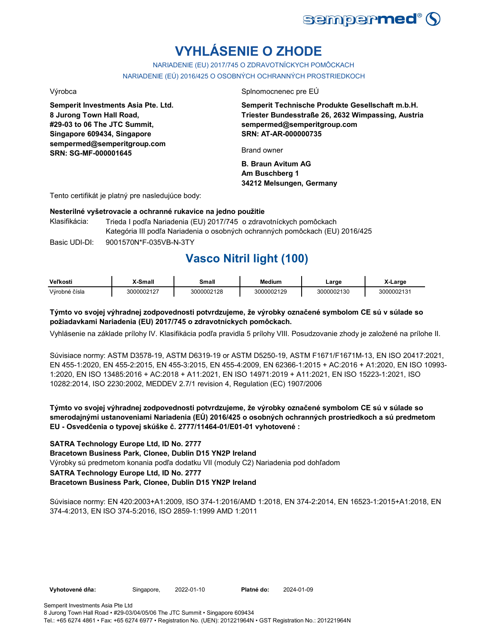

# **VYHLÁSENIE O ZHODE**

NARIADENIE (EU) 2017/745 O ZDRAVOTNÍCKYCH POMÔCKACH NARIADENIE (EÚ) 2016/425 O OSOBNÝCH OCHRANNÝCH PROSTRIEDKOCH

**Semperit Investments Asia Pte. Ltd. 8 Jurong Town Hall Road, #29-03 to 06 The JTC Summit, Singapore 609434, Singapore sempermed@semperitgroup.com SRN: SG-MF-000001645**

Výrobca Splnomocnenec pre EÚ

**Semperit Technische Produkte Gesellschaft m.b.H. Triester Bundesstraße 26, 2632 Wimpassing, Austria sempermed@semperitgroup.com SRN: AT-AR-000000735**

Brand owner

**B. Braun Avitum AG Am Buschberg 1 34212 Melsungen, Germany**

Tento certifikát je platný pre nasledujúce body:

## **Nesterilné vyšetrovacie a ochranné rukavice na jedno použitie**

Basic UDI-DI: 9001570N\*F-035VB-N-3TY 9001570N\*F-035VB-N-3T Klasifikácia: Trieda I podľa Nariadenia (EU) 2017/745 o zdravotníckych pomôckach Kategória III podľa Nariadenia o osobných ochranných pomôckach (EU) 2016/425

## **Vasco Nitril light (100)**

| Veľkosti      | X-Small    | Small      | <b>Medium</b> | ∟arge      | X-Large    |
|---------------|------------|------------|---------------|------------|------------|
| Výrobné čísla | 3000002127 | 3000002128 | 3000002129    | 3000002130 | 3000002131 |

## **Týmto vo svojej výhradnej zodpovednosti potvrdzujeme, že výrobky označené symbolom CE sú v súlade so požiadavkami Nariadenia (EU) 2017/745 o zdravotníckych pomôckach.**

Vyhlásenie na základe prílohy IV. Klasifikácia podľa pravidla 5 prílohy VIII. Posudzovanie zhody je založené na prílohe II.

Súvisiace normy: ASTM D3578-19, ASTM D6319-19 or ASTM D5250-19, ASTM F1671/F1671M-13, EN ISO 20417:2021, EN 455-1:2020, EN 455-2:2015, EN 455-3:2015, EN 455-4:2009, EN 62366-1:2015 + AC:2016 + A1:2020, EN ISO 10993- 1:2020, EN ISO 13485:2016 + AC:2018 + A11:2021, EN ISO 14971:2019 + A11:2021, EN ISO 15223-1:2021, ISO 10282:2014, ISO 2230:2002, MEDDEV 2.7/1 revision 4, Regulation (EC) 1907/2006

**Týmto vo svojej výhradnej zodpovednosti potvrdzujeme, že výrobky označené symbolom CE sú v súlade so smerodajnými ustanoveniami Nariadenia (EÚ) 2016/425 o osobných ochranných prostriedkoch a sú predmetom EU - Osvedčenia o typovej skúške č. 2777/11464-01/E01-01 vyhotovené :**

## **SATRA Technology Europe Ltd, ID No. 2777**

**Bracetown Business Park, Clonee, Dublin D15 YN2P Ireland**

Výrobky sú predmetom konania podľa dodatku VII (moduly C2) Nariadenia pod dohľadom

## **SATRA Technology Europe Ltd, ID No. 2777**

## **Bracetown Business Park, Clonee, Dublin D15 YN2P Ireland**

Súvisiace normy: EN 420:2003+A1:2009, ISO 374-1:2016/AMD 1:2018, EN 374-2:2014, EN 16523-1:2015+A1:2018, EN 374-4:2013, EN ISO 374-5:2016, ISO 2859-1:1999 AMD 1:2011

Vyhotovené dňa: Singapore, 2022-01-10 Platné do: 2024-01-09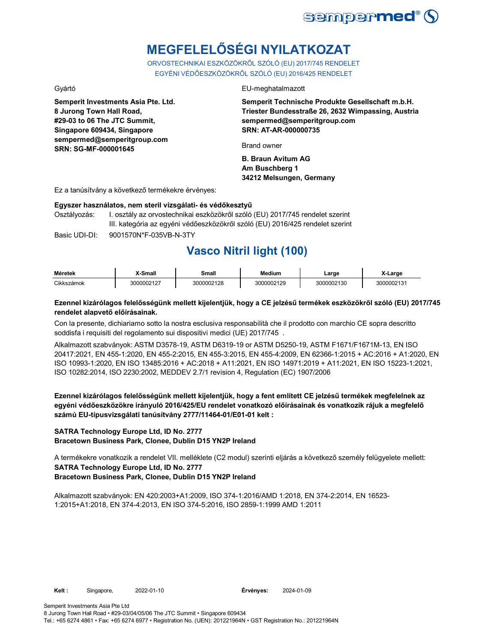

# **MEGFELELŐSÉGI NYILATKOZAT**

ORVOSTECHNIKAI ESZKÖZÖKRŐL SZÓLÓ (EU) 2017/745 RENDELET EGYÉNI VÉDŐESZKÖZÖKRŐL SZÓLÓ (EU) 2016/425 RENDELET

**Semperit Investments Asia Pte. Ltd. 8 Jurong Town Hall Road, #29-03 to 06 The JTC Summit, Singapore 609434, Singapore sempermed@semperitgroup.com SRN: SG-MF-000001645**

#### Gyártó EU-meghatalmazott

**Semperit Technische Produkte Gesellschaft m.b.H. Triester Bundesstraße 26, 2632 Wimpassing, Austria sempermed@semperitgroup.com SRN: AT-AR-000000735**

Brand owner

**B. Braun Avitum AG Am Buschberg 1 34212 Melsungen, Germany**

Ez a tanúsítvány a következő termékekre érvényes:

### **Egyszer használatos, nem steril vizsgálati- és védőkesztyű**

Osztályozás: I. osztály az orvostechnikai eszközökről szóló (EU) 2017/745 rendelet szerint III. kategória az egyéni védőeszközökről szóló (EU) 2016/425 rendelet szerint

Basic UDI-DI: 9001570N\*F-035VB-N-3TY 9001570N\*F-035VB-N-3T

## **Vasco Nitril light (100)**

| Méretek    | X-Small    | <b>Small</b> | Medium     | ∟arge      | X-Large                |
|------------|------------|--------------|------------|------------|------------------------|
| Cikkszámok | 3000002127 | 3000002128   | 3000002129 | 3000002130 | 300000213 <sup>.</sup> |

## **Ezennel kizárólagos felelősségünk mellett kijelentjük, hogy a CE jelzésű termékek eszközökről szóló (EU) 2017/745 rendelet alapvető előírásainak.**

Con la presente, dichiariamo sotto la nostra esclusiva responsabilità che il prodotto con marchio CE sopra descritto soddisfa i requisiti del regolamento sui dispositivi medici (UE) 2017/745 .

Alkalmazott szabványok: ASTM D3578-19, ASTM D6319-19 or ASTM D5250-19, ASTM F1671/F1671M-13, EN ISO 20417:2021, EN 455-1:2020, EN 455-2:2015, EN 455-3:2015, EN 455-4:2009, EN 62366-1:2015 + AC:2016 + A1:2020, EN ISO 10993-1:2020, EN ISO 13485:2016 + AC:2018 + A11:2021, EN ISO 14971:2019 + A11:2021, EN ISO 15223-1:2021, ISO 10282:2014, ISO 2230:2002, MEDDEV 2.7/1 revision 4, Regulation (EC) 1907/2006

**Ezennel kizárólagos felelősségünk mellett kijelentjük, hogy a fent említett CE jelzésű termékek megfelelnek az egyéni védőeszközökre irányuló 2016/425/EU rendelet vonatkozó előírásainak és vonatkozik rájuk a megfelelő számú EU-típusvizsgálati tanúsítvány 2777/11464-01/E01-01 kelt :**

## **SATRA Technology Europe Ltd, ID No. 2777**

**Bracetown Business Park, Clonee, Dublin D15 YN2P Ireland**

A termékekre vonatkozik a rendelet VII. melléklete (C2 modul) szerinti eljárás a következő személy felügyelete mellett:

## **SATRA Technology Europe Ltd, ID No. 2777**

**Bracetown Business Park, Clonee, Dublin D15 YN2P Ireland**

Alkalmazott szabványok: EN 420:2003+A1:2009, ISO 374-1:2016/AMD 1:2018, EN 374-2:2014, EN 16523- 1:2015+A1:2018, EN 374-4:2013, EN ISO 374-5:2016, ISO 2859-1:1999 AMD 1:2011

Semperit Investments Asia Pte Ltd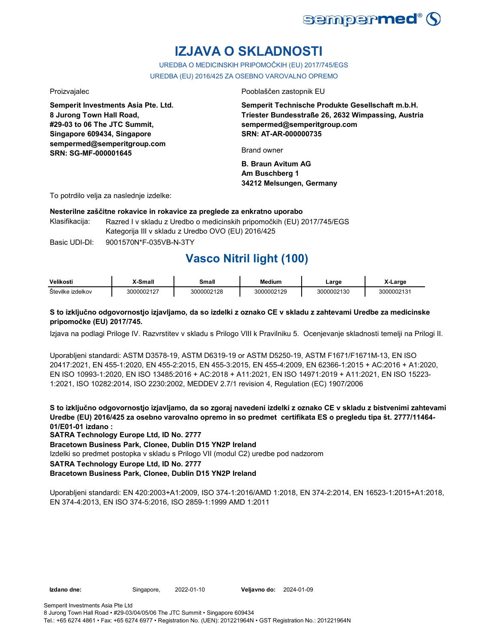

## **IZJAVA O SKLADNOSTI**

UREDBA O MEDICINSKIH PRIPOMOČKIH (EU) 2017/745/EGS UREDBA (EU) 2016/425 ZA OSEBNO VAROVALNO OPREMO

**Semperit Investments Asia Pte. Ltd. 8 Jurong Town Hall Road, #29-03 to 06 The JTC Summit, Singapore 609434, Singapore sempermed@semperitgroup.com SRN: SG-MF-000001645**

Proizvajalec **Proizvajalec** Pooblaščen zastopnik EU

**Semperit Technische Produkte Gesellschaft m.b.H. Triester Bundesstraße 26, 2632 Wimpassing, Austria sempermed@semperitgroup.com SRN: AT-AR-000000735**

Brand owner

**B. Braun Avitum AG Am Buschberg 1 34212 Melsungen, Germany**

To potrdilo velja za naslednje izdelke:

**Nesterilne zaščitne rokavice in rokavice za preglede za enkratno uporabo**

Klasifikacija: Razred I v skladu z Uredbo o medicinskih pripomočkih (EU) 2017/745/EGS Kategorija III v skladu z Uredbo OVO (EU) 2016/425

Basic UDI-DI: 9001570N\*F-035VB-N-3TY 9001570N\*F-035VB-N-3T

## **Vasco Nitril light (100)**

| Velikosti         | X-Small    | Small      | <b>Medium</b> | ∟arge      | X-Large    |
|-------------------|------------|------------|---------------|------------|------------|
| Številke izdelkov | 3000002127 | 3000002128 | 3000002129    | 3000002130 | 3000002131 |

## **S to izključno odgovornostjo izjavljamo, da so izdelki z oznako CE v skladu z zahtevami Uredbe za medicinske pripomočke (EU) 2017/745.**

Izjava na podlagi Priloge IV. Razvrstitev v skladu s Prilogo VIII k Pravilniku 5. Ocenjevanje skladnosti temelji na Prilogi II.

Uporabljeni standardi: ASTM D3578-19, ASTM D6319-19 or ASTM D5250-19, ASTM F1671/F1671M-13, EN ISO 20417:2021, EN 455-1:2020, EN 455-2:2015, EN 455-3:2015, EN 455-4:2009, EN 62366-1:2015 + AC:2016 + A1:2020, EN ISO 10993-1:2020, EN ISO 13485:2016 + AC:2018 + A11:2021, EN ISO 14971:2019 + A11:2021, EN ISO 15223- 1:2021, ISO 10282:2014, ISO 2230:2002, MEDDEV 2.7/1 revision 4, Regulation (EC) 1907/2006

**S to izključno odgovornostjo izjavljamo, da so zgoraj navedeni izdelki z oznako CE v skladu z bistvenimi zahtevami Uredbe (EU) 2016/425 za osebno varovalno opremo in so predmet certifikata ES o pregledu tipa št. 2777/11464- 01/E01-01 izdano :**

**SATRA Technology Europe Ltd, ID No. 2777**

**Bracetown Business Park, Clonee, Dublin D15 YN2P Ireland**

Izdelki so predmet postopka v skladu s Prilogo VII (modul C2) uredbe pod nadzorom

**SATRA Technology Europe Ltd, ID No. 2777**

**Bracetown Business Park, Clonee, Dublin D15 YN2P Ireland**

Uporabljeni standardi: EN 420:2003+A1:2009, ISO 374-1:2016/AMD 1:2018, EN 374-2:2014, EN 16523-1:2015+A1:2018, EN 374-4:2013, EN ISO 374-5:2016, ISO 2859-1:1999 AMD 1:2011

**Izdano dne:** Singapore, 2022-01-10

**Veliavno do: 2024-01-09**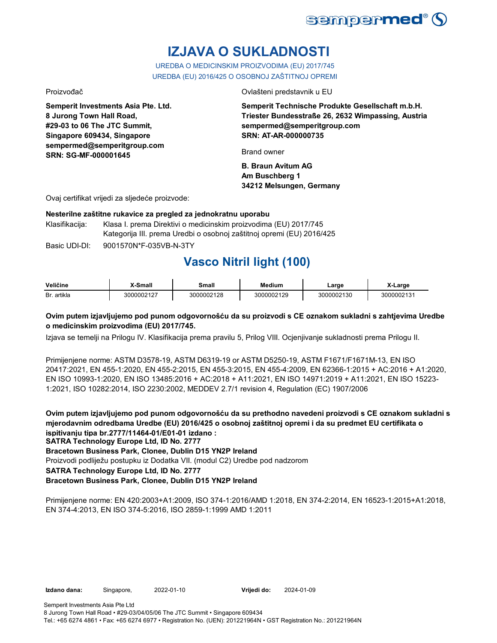

# **IZJAVA O SUKLADNOSTI**

UREDBA O MEDICINSKIM PROIZVODIMA (EU) 2017/745 UREDBA (EU) 2016/425 O OSOBNOJ ZAŠTITNOJ OPREMI

**Semperit Investments Asia Pte. Ltd. 8 Jurong Town Hall Road, #29-03 to 06 The JTC Summit, Singapore 609434, Singapore sempermed@semperitgroup.com SRN: SG-MF-000001645**

Proizvođač Ovlašteni predstavnik u EU

**Semperit Technische Produkte Gesellschaft m.b.H. Triester Bundesstraße 26, 2632 Wimpassing, Austria sempermed@semperitgroup.com SRN: AT-AR-000000735**

Brand owner

**B. Braun Avitum AG Am Buschberg 1 34212 Melsungen, Germany**

Ovaj certifikat vrijedi za sljedeće proizvode:

## **Nesterilne zaštitne rukavice za pregled za jednokratnu uporabu**

Klasifikacija: Klasa I. prema Direktivi o medicinskim proizvodima (EU) 2017/745 Kategorija III. prema Uredbi o osobnoj zaštitnoj opremi (EU) 2016/425

Basic UDI-DI: 9001570N\*F-035VB-N-3TY 9001570N\*F-035VB-N-3T

## **Vasco Nitril light (100)**

| Veličine       | <sup>∨</sup> Small | Small      | Medium     | Large    | ∡-Larɑe        |
|----------------|--------------------|------------|------------|----------|----------------|
| artikla<br>Br. | 3000002127         | 3000002128 | 3000002129 | 00002130 | 300000212<br>v |

## **Ovim putem izjavljujemo pod punom odgovornošću da su proizvodi s CE oznakom sukladni s zahtjevima Uredbe o medicinskim proizvodima (EU) 2017/745.**

Izjava se temelji na Prilogu IV. Klasifikacija prema pravilu 5, Prilog VIII. Ocjenjivanje sukladnosti prema Prilogu II.

Primijenjene norme: ASTM D3578-19, ASTM D6319-19 or ASTM D5250-19, ASTM F1671/F1671M-13, EN ISO 20417:2021, EN 455-1:2020, EN 455-2:2015, EN 455-3:2015, EN 455-4:2009, EN 62366-1:2015 + AC:2016 + A1:2020, EN ISO 10993-1:2020, EN ISO 13485:2016 + AC:2018 + A11:2021, EN ISO 14971:2019 + A11:2021, EN ISO 15223- 1:2021, ISO 10282:2014, ISO 2230:2002, MEDDEV 2.7/1 revision 4, Regulation (EC) 1907/2006

**Ovim putem izjavljujemo pod punom odgovornošću da su prethodno navedeni proizvodi s CE oznakom sukladni s mjerodavnim odredbama Uredbe (EU) 2016/425 o osobnoj zaštitnoj opremi i da su predmet EU certifikata o ispitivanju tipa br.2777/11464-01/E01-01 izdano :**

**SATRA Technology Europe Ltd, ID No. 2777**

**Bracetown Business Park, Clonee, Dublin D15 YN2P Ireland**

Proizvodi podliježu postupku iz Dodatka VII. (modul C2) Uredbe pod nadzorom

**SATRA Technology Europe Ltd, ID No. 2777**

## **Bracetown Business Park, Clonee, Dublin D15 YN2P Ireland**

Primijenjene norme: EN 420:2003+A1:2009, ISO 374-1:2016/AMD 1:2018, EN 374-2:2014, EN 16523-1:2015+A1:2018, EN 374-4:2013, EN ISO 374-5:2016, ISO 2859-1:1999 AMD 1:2011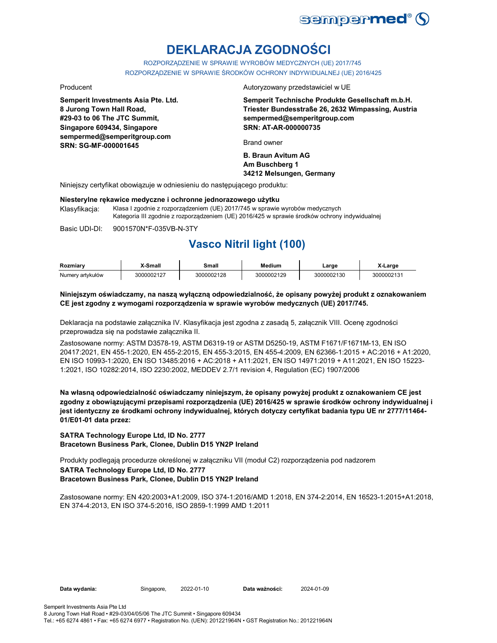

# **DEKLARACJA ZGODNOŚCI**

ROZPORZĄDZENIE W SPRAWIE WYROBÓW MEDYCZNYCH (UE) 2017/745 ROZPORZĄDZENIE W SPRAWIE ŚRODKÓW OCHRONY INDYWIDUALNEJ (UE) 2016/425

**Semperit Investments Asia Pte. Ltd. 8 Jurong Town Hall Road, #29-03 to 06 The JTC Summit, Singapore 609434, Singapore sempermed@semperitgroup.com SRN: SG-MF-000001645**

Producent **Autoryzowany przedstawiciel w UE** 

**Semperit Technische Produkte Gesellschaft m.b.H. Triester Bundesstraße 26, 2632 Wimpassing, Austria sempermed@semperitgroup.com SRN: AT-AR-000000735**

Brand owner

**B. Braun Avitum AG Am Buschberg 1 34212 Melsungen, Germany**

Niniejszy certyfikat obowiązuje w odniesieniu do następującego produktu:

#### **Niesterylne rękawice medyczne i ochronne jednorazowego użytku**

Klasyfikacja: Klasa I zgodnie z rozporządzeniem (UE) 2017/745 w sprawie wyrobów medycznych Kategoria III zgodnie z rozporządzeniem (UE) 2016/425 w sprawie środków ochrony indywidualnej

Basic UDI-DI: 9001570N\*F-035VB-N-3TY 9001570N\*F-035VB-N-3T

## **Vasco Nitril light (100)**

| Rozmiarv         | -Small     | Small      | Medium     | _arge      | Large      |
|------------------|------------|------------|------------|------------|------------|
| Numery artykułów | 3000002127 | 3000002128 | 3000002129 | 3000002130 | 3000002131 |

### **Niniejszym oświadczamy, na naszą wyłączną odpowiedzialność, że opisany powyżej produkt z oznakowaniem CE jest zgodny z wymogami rozporządzenia w sprawie wyrobów medycznych (UE) 2017/745.**

Deklaracja na podstawie załącznika IV. Klasyfikacja jest zgodna z zasadą 5, załącznik VIII. Ocenę zgodności przeprowadza się na podstawie załącznika II.

Zastosowane normy: ASTM D3578-19, ASTM D6319-19 or ASTM D5250-19, ASTM F1671/F1671M-13, EN ISO 20417:2021, EN 455-1:2020, EN 455-2:2015, EN 455-3:2015, EN 455-4:2009, EN 62366-1:2015 + AC:2016 + A1:2020, EN ISO 10993-1:2020, EN ISO 13485:2016 + AC:2018 + A11:2021, EN ISO 14971:2019 + A11:2021, EN ISO 15223- 1:2021, ISO 10282:2014, ISO 2230:2002, MEDDEV 2.7/1 revision 4, Regulation (EC) 1907/2006

**Na własną odpowiedzialność oświadczamy niniejszym, że opisany powyżej produkt z oznakowaniem CE jest zgodny z obowiązującymi przepisami rozporządzenia (UE) 2016/425 w sprawie środków ochrony indywidualnej i jest identyczny ze środkami ochrony indywidualnej, których dotyczy certyfikat badania typu UE nr 2777/11464- 01/E01-01 data przez:**

### **SATRA Technology Europe Ltd, ID No. 2777 Bracetown Business Park, Clonee, Dublin D15 YN2P Ireland**

Produkty podlegają procedurze określonej w załączniku VII (moduł C2) rozporządzenia pod nadzorem **SATRA Technology Europe Ltd, ID No. 2777 Bracetown Business Park, Clonee, Dublin D15 YN2P Ireland**

Zastosowane normy: EN 420:2003+A1:2009, ISO 374-1:2016/AMD 1:2018, EN 374-2:2014, EN 16523-1:2015+A1:2018, EN 374-4:2013, EN ISO 374-5:2016, ISO 2859-1:1999 AMD 1:2011

Data wydania: Singapore, 2022-01-10

Data ważności: 2024-01-09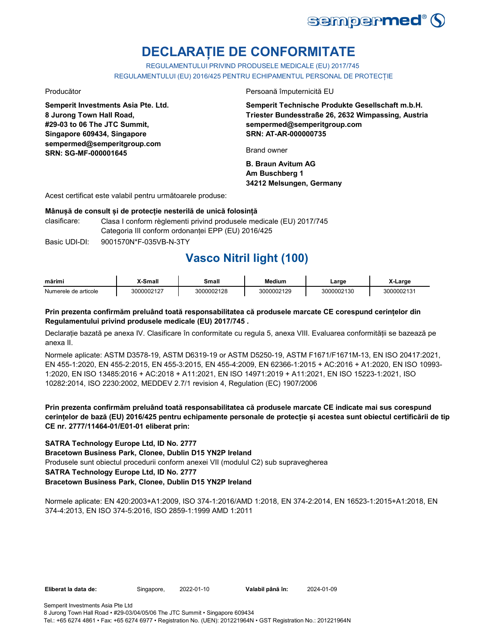

# **DECLARAȚIE DE CONFORMITATE**

REGULAMENTULUI PRIVIND PRODUSELE MEDICALE (EU) 2017/745 REGULAMENTULUI (EU) 2016/425 PENTRU ECHIPAMENTUL PERSONAL DE PROTECȚIE

**Semperit Investments Asia Pte. Ltd. 8 Jurong Town Hall Road, #29-03 to 06 The JTC Summit, Singapore 609434, Singapore sempermed@semperitgroup.com SRN: SG-MF-000001645**

Producător Persoană împuternicită EU

**Semperit Technische Produkte Gesellschaft m.b.H. Triester Bundesstraße 26, 2632 Wimpassing, Austria sempermed@semperitgroup.com SRN: AT-AR-000000735**

Brand owner

**B. Braun Avitum AG Am Buschberg 1 34212 Melsungen, Germany**

Acest certificat este valabil pentru următoarele produse:

## **Mânușă de consult și de protecție nesterilă de unică folosință**

- clasificare: Clasa I conform règlementi privind produsele medicale (EU) 2017/745 Categoria III conform ordonanței EPP (EU) 2016/425
- Basic UDI-DI: 9001570N\*F-035VB-N-3TY 9001570N\*F-035VB-N-3T

## **Vasco Nitril light (100)**

| $\sim$ $\sim$<br>mărim | <br>ะ - - - แ<br>шан          | шан         | <b>Medium</b>    | arge                                    | CHALL <b>CONT</b> |
|------------------------|-------------------------------|-------------|------------------|-----------------------------------------|-------------------|
| Numerele<br>articole   | $\sim$ $\sim$ $\sim$<br>70021 | ۱nc<br>ነስስር | 120<br>וחג<br>__ | $\overline{\phantom{a}}$<br>n r<br>ں رہ | ״<br>. נ          |

## **Prin prezenta confirmăm preluând toată responsabilitatea că produsele marcate CE corespund cerințelor din Regulamentului privind produsele medicale (EU) 2017/745 .**

Declarație bazată pe anexa IV. Clasificare în conformitate cu regula 5, anexa VIII. Evaluarea conformității se bazează pe anexa II.

Normele aplicate: ASTM D3578-19, ASTM D6319-19 or ASTM D5250-19, ASTM F1671/F1671M-13, EN ISO 20417:2021, EN 455-1:2020, EN 455-2:2015, EN 455-3:2015, EN 455-4:2009, EN 62366-1:2015 + AC:2016 + A1:2020, EN ISO 10993- 1:2020, EN ISO 13485:2016 + AC:2018 + A11:2021, EN ISO 14971:2019 + A11:2021, EN ISO 15223-1:2021, ISO 10282:2014, ISO 2230:2002, MEDDEV 2.7/1 revision 4, Regulation (EC) 1907/2006

**Prin prezenta confirmăm preluând toată responsabilitatea că produsele marcate CE indicate mai sus corespund cerințelor de bază (EU) 2016/425 pentru echipamente personale de protecție și acestea sunt obiectul certificării de tip CE nr. 2777/11464-01/E01-01 eliberat prin:**

## **SATRA Technology Europe Ltd, ID No. 2777**

**Bracetown Business Park, Clonee, Dublin D15 YN2P Ireland**

Produsele sunt obiectul procedurii conform anexei VII (modulul C2) sub supravegherea

## **SATRA Technology Europe Ltd, ID No. 2777**

## **Bracetown Business Park, Clonee, Dublin D15 YN2P Ireland**

Normele aplicate: EN 420:2003+A1:2009, ISO 374-1:2016/AMD 1:2018, EN 374-2:2014, EN 16523-1:2015+A1:2018, EN 374-4:2013, EN ISO 374-5:2016, ISO 2859-1:1999 AMD 1:2011

Eliberat la data de: Singapore, 2022-01-10

Valabil până în: 2024-01-09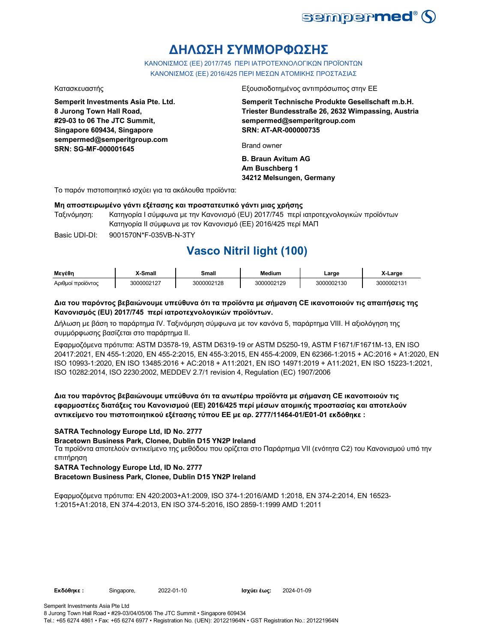

## **ΔΗΛΩΣΗ ΣΥΜΜΟΡΦΩΣΗΣ**

ΚΑΝΟΝΙΣΜΟΣ (EE) 2017/745 ΠΕΡΙ ΙΑΤΡΟΤΕΧΝΟΛΟΓΙΚΩΝ ΠΡΟΪΟΝΤΩΝ ΚΑΝΟΝΙΣΜΟΣ (ΕΕ) 2016/425 ΠΕΡΙ ΜΕΣΩΝ ΑΤΟΜΙΚΗΣ ΠΡΟΣΤΑΣΙΑΣ

**Semperit Investments Asia Pte. Ltd. 8 Jurong Town Hall Road, #29-03 to 06 The JTC Summit, Singapore 609434, Singapore sempermed@semperitgroup.com SRN: SG-MF-000001645**

#### Κατασκευαστής Εξουσιοδοτημένος αντιπρόσωπος στην ΕΕ

**Semperit Technische Produkte Gesellschaft m.b.H. Triester Bundesstraße 26, 2632 Wimpassing, Austria sempermed@semperitgroup.com SRN: AT-AR-000000735**

Brand owner

**B. Braun Avitum AG Am Buschberg 1 34212 Melsungen, Germany**

Το παρόν πιστοποιητικό ισχύει για τα ακόλουθα προϊόντα:

### **Μη αποστειρωμένο γάντι εξέτασης και προστατευτικό γάντι μιας χρήσης**

Ταξινόμηση: Κατηγορία I σύμφωνα με την Κανονισμό (EU) 2017/745 περί ιατροτεχνολογικών προϊόντων Κατηγορία II σύμφωνα με τον Κανονισμό (ΕΕ) 2016/425 περί ΜΑΠ

Basic UDI-DI: 9001570N\*F-035VB-N-3TY 9001570N\*F-035VB-N-3T

## **Vasco Nitril light (100)**

| Μεγέθη            | <b>X-Small</b> | Small      | <b>Medium</b> | ∟arge      | X-Large    |
|-------------------|----------------|------------|---------------|------------|------------|
| Αριθμοί προϊόντος | 3000002127     | 3000002128 | 3000002129    | 3000002130 | 3000002131 |

## **Δια του παρόντος βεβαιώνουμε υπεύθυνα ότι τα προϊόντα με σήμανση CE ικανοποιούν τις απαιτήσεις της Κανονισμός (EU) 2017/745 περί ιατροτεχνολογικών προϊόντων.**

Δήλωση με βάση το παράρτημα IV. Ταξινόμηση σύμφωνα με τον κανόνα 5, παράρτημα VIII. Η αξιολόγηση της συμμόρφωσης βασίζεται στο παράρτημα II.

Εφαρμοζόμενα πρότυπα: ASTM D3578-19, ASTM D6319-19 or ASTM D5250-19, ASTM F1671/F1671M-13, EN ISO 20417:2021, EN 455-1:2020, EN 455-2:2015, EN 455-3:2015, EN 455-4:2009, EN 62366-1:2015 + AC:2016 + A1:2020, EN ISO 10993-1:2020, EN ISO 13485:2016 + AC:2018 + A11:2021, EN ISO 14971:2019 + A11:2021, EN ISO 15223-1:2021, ISO 10282:2014, ISO 2230:2002, MEDDEV 2.7/1 revision 4, Regulation (EC) 1907/2006

**Δια του παρόντος βεβαιώνουμε υπεύθυνα ότι τα ανωτέρω προϊόντα με σήμανση CE ικανοποιούν τις εφαρμοστέες διατάξεις του Κανονισμού (ΕΕ) 2016/425 περί μέσων ατομικής προστασίας και αποτελούν αντικείμενο του πιστοποιητικού εξέτασης τύπου ΕΕ με αρ. 2777/11464-01/E01-01 εκδόθηκε :**

## **SATRA Technology Europe Ltd, ID No. 2777**

**Bracetown Business Park, Clonee, Dublin D15 YN2P Ireland**

Τα προϊόντα αποτελούν αντικείμενο της μεθόδου που ορίζεται στο Παράρτημα VII (ενότητα C2) του Κανονισμού υπό την επιτήρηση

**SATRA Technology Europe Ltd, ID No. 2777**

**Bracetown Business Park, Clonee, Dublin D15 YN2P Ireland**

Εφαρμοζόμενα πρότυπα: EN 420:2003+A1:2009, ISO 374-1:2016/AMD 1:2018, EN 374-2:2014, EN 16523- 1:2015+A1:2018, EN 374-4:2013, EN ISO 374-5:2016, ISO 2859-1:1999 AMD 1:2011

**Εκδόθηκε :** Singapore, **Ισχύει έως:** 2022-01-10 2024-01-09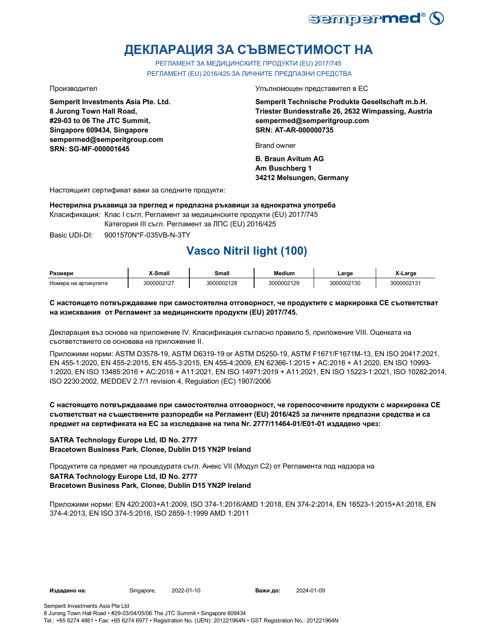

# **ДЕКЛАРАЦИЯ ЗА СЪВМЕСТИМОСТ НА**

РЕГЛАМЕНТ ЗА МЕДИЦИНСКИТЕ ПРОДУКТИ (EU) 2017/745 РЕГЛАМЕНТ (EU) 2016/425 ЗА ЛИЧНИТЕ ПРЕДПАЗНИ СРЕДСТВА

**Semperit Investments Asia Pte. Ltd. 8 Jurong Town Hall Road, #29-03 to 06 The JTC Summit, Singapore 609434, Singapore sempermed@semperitgroup.com SRN: SG-MF-000001645**

Производител Упълномощен представител в ЕС

**Semperit Technische Produkte Gesellschaft m.b.H. Triester Bundesstraße 26, 2632 Wimpassing, Austria sempermed@semperitgroup.com SRN: AT-AR-000000735**

Brand owner

**B. Braun Avitum AG Am Buschberg 1 34212 Melsungen, Germany**

Настоящият сертификат важи за следните продукти:

**Нестерилна ръкавица за преглед и предпазна ръкавици за еднократна употреба**

Класификация: Клас I съгл. Регламент за медицинските продукти (EU) 2017/745

Категория III съгл. Регламент за ЛПС (EU) 2016/425

Basic UDI-DI: 9001570N\*F-035VB-N-3TY 9001570N\*F-035VB-N-

## **Vasco Nitril light (100)**

| Размери              | -Small     | Small      | Medium                                                        | ∟arge      | X-Large    |
|----------------------|------------|------------|---------------------------------------------------------------|------------|------------|
| Номера на артикулите | 3000002127 | 3000002128 | 3000002129<br>the contract of the contract of the contract of | 3000002130 | 3000002131 |

## **С настоящето потвърждаваме при самостоятелна отговорност, че продуктите с маркировка СЕ съответстват на изисквания от Регламент за медицинските продукти (EU) 2017/745.**

Декларация въз основа на приложение IV. Класификация съгласно правило 5, приложение VIII. Оценката на съответствието се основава на приложение II.

Приложими норми: ASTM D3578-19, ASTM D6319-19 or ASTM D5250-19, ASTM F1671/F1671M-13, EN ISO 20417:2021, EN 455-1:2020, EN 455-2:2015, EN 455-3:2015, EN 455-4:2009, EN 62366-1:2015 + AC:2016 + A1:2020, EN ISO 10993- 1:2020, EN ISO 13485:2016 + AC:2018 + A11:2021, EN ISO 14971:2019 + A11:2021, EN ISO 15223-1:2021, ISO 10282:2014, ISO 2230:2002, MEDDEV 2.7/1 revision 4, Regulation (EC) 1907/2006

## **С настоящето потвърждаваме при самостоятелна отговорност, че горепосочените продукти с маркировка СЕ съответстват на съществените разпоредби на Регламент (EU) 2016/425 за личните предпазни средства и са предмет на сертификата на ЕС за изследване на типа Nr. 2777/11464-01/E01-01 издадено чрез:**

## **SATRA Technology Europe Ltd, ID No. 2777 Bracetown Business Park, Clonee, Dublin D15 YN2P Ireland**

Продуктите са предмет на процедурата съгл. Анекс VII (Модул С2) от Регламента под надзора на **SATRA Technology Europe Ltd, ID No. 2777 Bracetown Business Park, Clonee, Dublin D15 YN2P Ireland**

Приложими норми: EN 420:2003+A1:2009, ISO 374-1:2016/AMD 1:2018, EN 374-2:2014, EN 16523-1:2015+A1:2018, EN 374-4:2013, EN ISO 374-5:2016, ISO 2859-1:1999 AMD 1:2011

Важи до: 2024-01-09